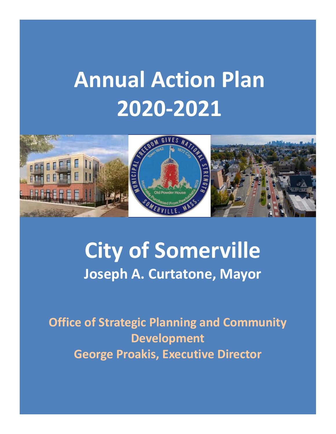# **Annual Action Plan 2020‐2021**



## **City of Somerville Joseph A. Curtatone, Mayor**

**Office of Strategic Planning and Community Development George Proakis, Executive Director**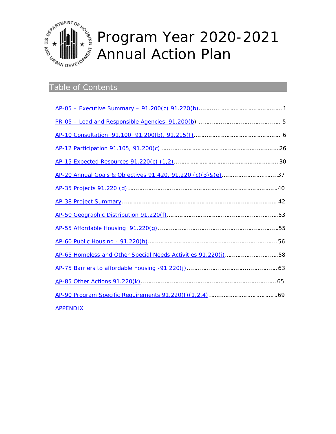

#### Prog Ann gram ual A Yea Action r 202 n Pla 20-2 an 021

#### Table of Contents

| AP-65 Homeless and Other Special Needs Activities 91.220(i)58 |  |
|---------------------------------------------------------------|--|
|                                                               |  |
|                                                               |  |
|                                                               |  |
| <b>APPENDIX</b>                                               |  |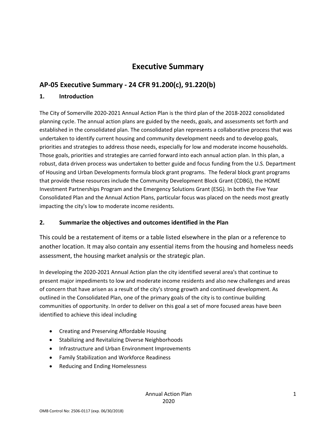### **Executive Summary**

#### **AP‐05 Executive Summary ‐ 24 CFR 91.200(c), 91.220(b)**

#### **1. Introduction**

The City of Somerville 2020‐2021 Annual Action Plan is the third plan of the 2018‐2022 consolidated planning cycle. The annual action plans are guided by the needs, goals, and assessments set forth and established in the consolidated plan. The consolidated plan represents a collaborative process that was undertaken to identify current housing and community development needs and to develop goals, priorities and strategies to address those needs, especially for low and moderate income households. Those goals, priorities and strategies are carried forward into each annual action plan. In this plan, a robust, data driven process was undertaken to better guide and focus funding from the U.S. Department of Housing and Urban Developments formula block grant programs. The federal block grant programs that provide these resources include the Community Development Block Grant (CDBG), the HOME Investment Partnerships Program and the Emergency Solutions Grant (ESG). In both the Five Year Consolidated Plan and the Annual Action Plans, particular focus was placed on the needs most greatly impacting the city's low to moderate income residents.

#### **2. Summarize the objectives and outcomes identified in the Plan**

This could be a restatement of items or a table listed elsewhere in the plan or a reference to another location. It may also contain any essential items from the housing and homeless needs assessment, the housing market analysis or the strategic plan.

In developing the 2020‐2021 Annual Action plan the city identified several area's that continue to present major impediments to low and moderate income residents and also new challenges and areas of concern that have arisen as a result of the city's strong growth and continued development. As outlined in the Consolidated Plan, one of the primary goals of the city is to continue building communities of opportunity. In order to deliver on this goal a set of more focused areas have been identified to achieve this ideal including

- Creating and Preserving Affordable Housing
- **•** Stabilizing and Revitalizing Diverse Neighborhoods
- Infrastructure and Urban Environment Improvements
- Family Stabilization and Workforce Readiness
- Reducing and Ending Homelessness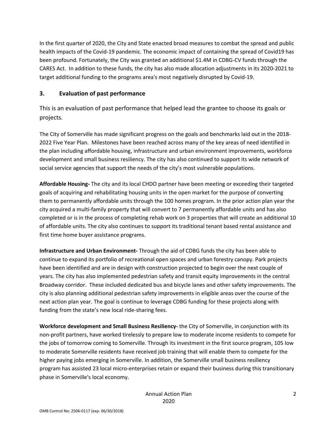In the first quarter of 2020, the City and State enacted broad measures to combat the spread and public health impacts of the Covid-19 pandemic. The economic impact of containing the spread of Covid19 has been profound. Fortunately, the City was granted an additional \$1.4M in CDBG‐CV funds through the CARES Act. In addition to these funds, the city has also made allocation adjustments in its 2020‐2021 to target additional funding to the programs area's most negatively disrupted by Covid‐19.

#### **3. Evaluation of past performance**

This is an evaluation of past performance that helped lead the grantee to choose its goals or projects.

The City of Somerville has made significant progress on the goals and benchmarks laid out in the 2018‐ 2022 Five Year Plan. Milestones have been reached across many of the key areas of need identified in the plan including affordable housing, infrastructure and urban environment improvements, workforce development and small business resiliency. The city has also continued to support its wide network of social service agencies that support the needs of the city's most vulnerable populations.

**Affordable Housing‐** The city and its local CHDO partner have been meeting or exceeding their targeted goals of acquiring and rehabilitating housing units in the open market for the purpose of converting them to permanently affordable units through the 100 homes program. In the prior action plan year the city acquired a multi‐family property that will convert to 7 permanently affordable units and has also completed or is in the process of completing rehab work on 3 properties that will create an additional 10 of affordable units. The city also continues to support its traditional tenant based rental assistance and first time home buyer assistance programs.

**Infrastructure and Urban Environment‐** Through the aid of CDBG funds the city has been able to continue to expand its portfolio of recreational open spaces and urban forestry canopy. Park projects have been identified and are in design with construction projected to begin over the next couple of years. The city has also implemented pedestrian safety and transit equity improvements in the central Broadway corridor. These included dedicated bus and bicycle lanes and other safety improvements. The city is also planning additional pedestrian safety improvements in eligible areas over the course of the next action plan year. The goal is continue to leverage CDBG funding for these projects along with funding from the state's new local ride‐sharing fees.

**Workforce development and Small Business Resiliency‐** the City of Somerville, in conjunction with its non‐profit partners, have worked tirelessly to prepare low to moderate income residents to compete for the jobs of tomorrow coming to Somerville. Through its investment in the first source program, 105 low to moderate Somerville residents have received job training that will enable them to compete for the higher paying jobs emerging in Somerville. In addition, the Somerville small business resiliency program has assisted 23 local micro‐enterprises retain or expand their business during this transitionary phase in Somerville's local economy.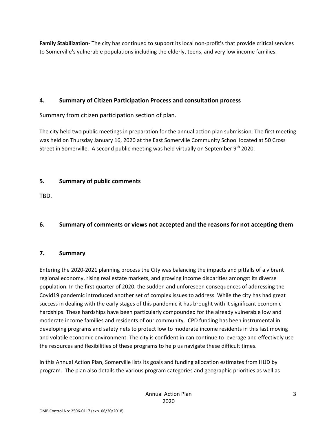**Family Stabilization**‐ The city has continued to support its local non‐profit's that provide critical services to Somerville's vulnerable populations including the elderly, teens, and very low income families.

#### **4. Summary of Citizen Participation Process and consultation process**

Summary from citizen participation section of plan.

The city held two public meetings in preparation for the annual action plan submission. The first meeting was held on Thursday January 16, 2020 at the East Somerville Community School located at 50 Cross Street in Somerville. A second public meeting was held virtually on September 9<sup>th</sup> 2020.

#### **5. Summary of public comments**

TBD.

#### **6. Summary of comments or views not accepted and the reasons for not accepting them**

#### **7. Summary**

Entering the 2020‐2021 planning process the City was balancing the impacts and pitfalls of a vibrant regional economy, rising real estate markets, and growing income disparities amongst its diverse population. In the first quarter of 2020, the sudden and unforeseen consequences of addressing the Covid19 pandemic introduced another set of complex issues to address. While the city has had great success in dealing with the early stages of this pandemic it has brought with it significant economic hardships. These hardships have been particularly compounded for the already vulnerable low and moderate income families and residents of our community. CPD funding has been instrumental in developing programs and safety nets to protect low to moderate income residents in this fast moving and volatile economic environment. The city is confident in can continue to leverage and effectively use the resources and flexibilities of these programs to help us navigate these difficult times.

In this Annual Action Plan, Somerville lists its goals and funding allocation estimates from HUD by program. The plan also details the various program categories and geographic priorities as well as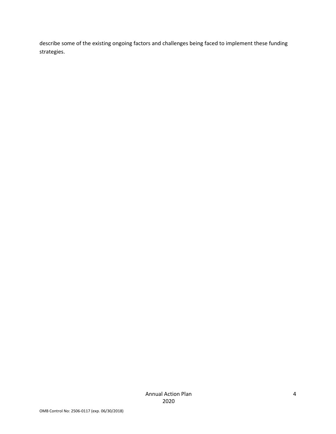describe some of the existing ongoing factors and challenges being faced to implement these funding strategies.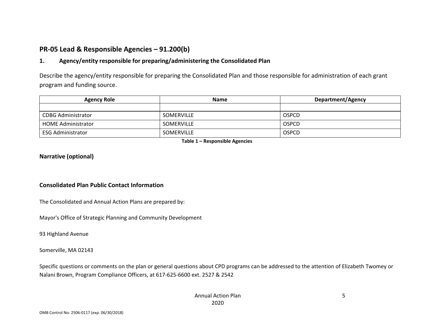#### **PR‐05 Lead & Responsible Agencies – 91.200(b)**

#### **1. Agency/entity responsible for preparing/administering the Consolidated Plan**

Describe the agency/entity responsible for preparing the Consolidated Plan and those responsible for administration of each grant program and funding source.

| <b>Agency Role</b>        | <b>Name</b>       | <b>Department/Agency</b> |
|---------------------------|-------------------|--------------------------|
|                           |                   |                          |
| <b>CDBG Administrator</b> | <b>SOMERVILLE</b> | <b>OSPCD</b>             |
| <b>HOME Administrator</b> | <b>SOMERVILLE</b> | <b>OSPCD</b>             |
| ESG Administrator         | <b>SOMERVILLE</b> | <b>OSPCD</b>             |

**Table 1 – Responsible Agencies** 

#### **Narrative (optional)**

#### **Consolidated Plan Public Contact Information**

The Consolidated and Annual Action Plans are prepared by:

Mayor's Office of Strategic Planning and Community Development

93 Highland Avenue

Somerville, MA 02143

Specific questions or comments on the plan or general questions about CPD programs can be addressed to the attention of Elizabeth Twomey or Nalani Brown, Program Compliance Officers, at 617‐625‐6600 ext. 2527 & 2542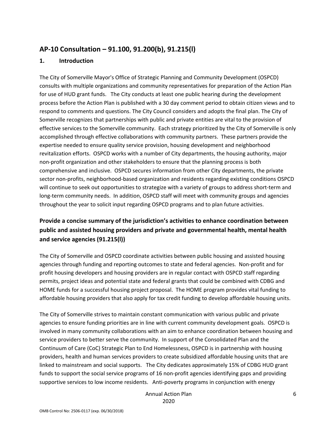#### **AP‐10 Consultation – 91.100, 91.200(b), 91.215(l)**

#### **1. Introduction**

The City of Somerville Mayor's Office of Strategic Planning and Community Development (OSPCD) consults with multiple organizations and community representatives for preparation of the Action Plan for use of HUD grant funds. The City conducts at least one public hearing during the development process before the Action Plan is published with a 30 day comment period to obtain citizen views and to respond to comments and questions. The City Council considers and adopts the final plan. The City of Somerville recognizes that partnerships with public and private entities are vital to the provision of effective services to the Somerville community. Each strategy prioritized by the City of Somerville is only accomplished through effective collaborations with community partners. These partners provide the expertise needed to ensure quality service provision, housing development and neighborhood revitalization efforts. OSPCD works with a number of City departments, the housing authority, major non‐profit organization and other stakeholders to ensure that the planning process is both comprehensive and inclusive. OSPCD secures information from other City departments, the private sector non-profits, neighborhood-based organization and residents regarding existing conditions OSPCD will continue to seek out opportunities to strategize with a variety of groups to address short-term and long-term community needs. In addition, OSPCD staff will meet with community groups and agencies throughout the year to solicit input regarding OSPCD programs and to plan future activities.

#### **Provide a concise summary of the jurisdiction's activities to enhance coordination between public and assisted housing providers and private and governmental health, mental health and service agencies (91.215(l))**

The City of Somerville and OSPCD coordinate activities between public housing and assisted housing agencies through funding and reporting outcomes to state and federal agencies. Non‐profit and for profit housing developers and housing providers are in regular contact with OSPCD staff regarding permits, project ideas and potential state and federal grants that could be combined with CDBG and HOME funds for a successful housing project proposal. The HOME program provides vital funding to affordable housing providers that also apply for tax credit funding to develop affordable housing units.

The City of Somerville strives to maintain constant communication with various public and private agencies to ensure funding priorities are in line with current community development goals. OSPCD is involved in many community collaborations with an aim to enhance coordination between housing and service providers to better serve the community. In support of the Consolidated Plan and the Continuum of Care (CoC) Strategic Plan to End Homelessness, OSPCD is in partnership with housing providers, health and human services providers to create subsidized affordable housing units that are linked to mainstream and social supports. The City dedicates approximately 15% of CDBG HUD grant funds to support the social service programs of 16 non‐profit agencies identifying gaps and providing supportive services to low income residents. Anti-poverty programs in conjunction with energy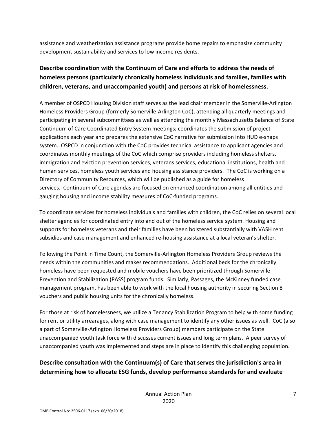assistance and weatherization assistance programs provide home repairs to emphasize community development sustainability and services to low income residents.

#### **Describe coordination with the Continuum of Care and efforts to address the needs of homeless persons (particularly chronically homeless individuals and families, families with children, veterans, and unaccompanied youth) and persons at risk of homelessness.**

A member of OSPCD Housing Division staff serves as the lead chair member in the Somerville‐Arlington Homeless Providers Group (formerly Somerville‐Arlington CoC), attending all quarterly meetings and participating in several subcommittees as well as attending the monthly Massachusetts Balance of State Continuum of Care Coordinated Entry System meetings; coordinates the submission of project applications each year and prepares the extensive CoC narrative for submission into HUD e-snaps system. OSPCD in conjunction with the CoC provides technical assistance to applicant agencies and coordinates monthly meetings of the CoC which comprise providers including homeless shelters, immigration and eviction prevention services, veterans services, educational institutions, health and human services, homeless youth services and housing assistance providers. The CoC is working on a Directory of Community Resources, which will be published as a guide for homeless services. Continuum of Care agendas are focused on enhanced coordination among all entities and gauging housing and income stability measures of CoC‐funded programs.

To coordinate services for homeless individuals and families with children, the CoC relies on several local shelter agencies for coordinated entry into and out of the homeless service system. Housing and supports for homeless veterans and their families have been bolstered substantially with VASH rent subsidies and case management and enhanced re-housing assistance at a local veteran's shelter.

Following the Point in Time Count, the Somerville‐Arlington Homeless Providers Group reviews the needs within the communities and makes recommendations. Additional beds for the chronically homeless have been requested and mobile vouchers have been prioritized through Somerville Prevention and Stabilization (PASS) program funds. Similarly, Passages, the McKinney funded case management program, has been able to work with the local housing authority in securing Section 8 vouchers and public housing units for the chronically homeless.

For those at risk of homelessness, we utilize a Tenancy Stabilization Program to help with some funding for rent or utility arrearages, along with case management to identify any other issues as well. CoC (also a part of Somerville‐Arlington Homeless Providers Group) members participate on the State unaccompanied youth task force with discusses current issues and long term plans. A peer survey of unaccompanied youth was implemented and steps are in place to identify this challenging population.

#### **Describe consultation with the Continuum(s) of Care that serves the jurisdiction's area in determining how to allocate ESG funds, develop performance standards for and evaluate**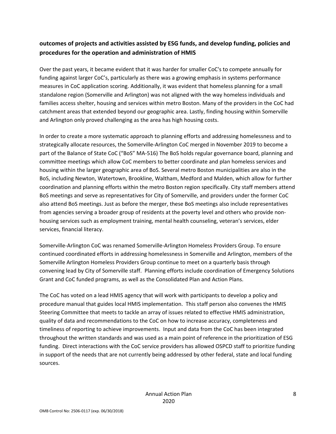#### **outcomes of projects and activities assisted by ESG funds, and develop funding, policies and procedures for the operation and administration of HMIS**

Over the past years, it became evident that it was harder for smaller CoC's to compete annually for funding against larger CoC's, particularly as there was a growing emphasis in systems performance measures in CoC application scoring. Additionally, it was evident that homeless planning for a small standalone region (Somerville and Arlington) was not aligned with the way homeless individuals and families access shelter, housing and services within metro Boston. Many of the providers in the CoC had catchment areas that extended beyond our geographic area. Lastly, finding housing within Somerville and Arlington only proved challenging as the area has high housing costs.

In order to create a more systematic approach to planning efforts and addressing homelessness and to strategically allocate resources, the Somerville‐Arlington CoC merged in November 2019 to become a part of the Balance of State CoC ("BoS" MA‐516) The BoS holds regular governance board, planning and committee meetings which allow CoC members to better coordinate and plan homeless services and housing within the larger geographic area of BoS. Several metro Boston municipalities are also in the BoS, including Newton, Watertown, Brookline, Waltham, Medford and Malden, which allow for further coordination and planning efforts within the metro Boston region specifically. City staff members attend BoS meetings and serve as representatives for City of Somerville, and providers under the former CoC also attend BoS meetings. Just as before the merger, these BoS meetings also include representatives from agencies serving a broader group of residents at the poverty level and others who provide non‐ housing services such as employment training, mental health counseling, veteran's services, elder services, financial literacy.

Somerville‐Arlington CoC was renamed Somerville‐Arlington Homeless Providers Group. To ensure continued coordinated efforts in addressing homelessness in Somerville and Arlington, members of the Somerville Arlington Homeless Providers Group continue to meet on a quarterly basis through convening lead by City of Somerville staff. Planning efforts include coordination of Emergency Solutions Grant and CoC funded programs, as well as the Consolidated Plan and Action Plans.

The CoC has voted on a lead HMIS agency that will work with participants to develop a policy and procedure manual that guides local HMIS implementation. This staff person also convenes the HMIS Steering Committee that meets to tackle an array of issues related to effective HMIS administration, quality of data and recommendations to the CoC on how to increase accuracy, completeness and timeliness of reporting to achieve improvements. Input and data from the CoC has been integrated throughout the written standards and was used as a main point of reference in the prioritization of ESG funding. Direct interactions with the CoC service providers has allowed OSPCD staff to prioritize funding in support of the needs that are not currently being addressed by other federal, state and local funding sources.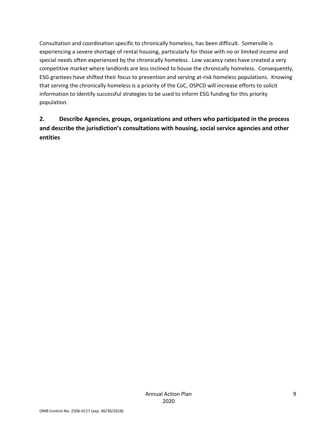Consultation and coordination specific to chronically homeless, has been difficult. Somerville is experiencing a severe shortage of rental housing, particularly for those with no or limited income and special needs often experienced by the chronically homeless. Low vacancy rates have created a very competitive market where landlords are less inclined to house the chronically homeless. Consequently, ESG grantees have shifted their focus to prevention and serving at‐risk homeless populations. Knowing that serving the chronically homeless is a priority of the CoC, OSPCD will increase efforts to solicit information to identify successful strategies to be used to inform ESG funding for this priority population.

#### **2. Describe Agencies, groups, organizations and others who participated in the process and describe the jurisdiction's consultations with housing, social service agencies and other entities**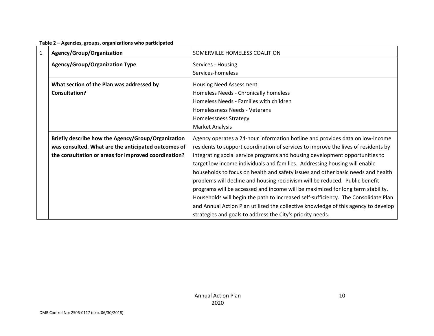|              | - סייניים                                            |                                                                                    |
|--------------|------------------------------------------------------|------------------------------------------------------------------------------------|
| $\mathbf{1}$ | Agency/Group/Organization                            | SOMERVILLE HOMELESS COALITION                                                      |
|              | Agency/Group/Organization Type                       | Services - Housing                                                                 |
|              |                                                      | Services-homeless                                                                  |
|              | What section of the Plan was addressed by            | <b>Housing Need Assessment</b>                                                     |
|              | <b>Consultation?</b>                                 | Homeless Needs - Chronically homeless                                              |
|              |                                                      | Homeless Needs - Families with children                                            |
|              |                                                      | Homelessness Needs - Veterans                                                      |
|              |                                                      | <b>Homelessness Strategy</b>                                                       |
|              |                                                      | Market Analysis                                                                    |
|              | Briefly describe how the Agency/Group/Organization   | Agency operates a 24-hour information hotline and provides data on low-income      |
|              | was consulted. What are the anticipated outcomes of  | residents to support coordination of services to improve the lives of residents by |
|              | the consultation or areas for improved coordination? | integrating social service programs and housing development opportunities to       |
|              |                                                      | target low income individuals and families. Addressing housing will enable         |
|              |                                                      | households to focus on health and safety issues and other basic needs and health   |
|              |                                                      | problems will decline and housing recidivism will be reduced. Public benefit       |
|              |                                                      | programs will be accessed and income will be maximized for long term stability.    |
|              |                                                      | Households will begin the path to increased self-sufficiency. The Consolidate Plan |
|              |                                                      | and Annual Action Plan utilized the collective knowledge of this agency to develop |
|              |                                                      | strategies and goals to address the City's priority needs.                         |

#### **Table 2 – Agencies, groups, organizations who participated**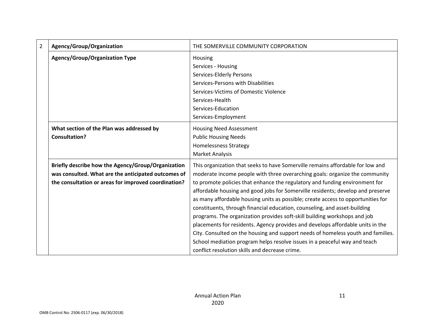| $\overline{2}$ | Agency/Group/Organization                            | THE SOMERVILLE COMMUNITY CORPORATION                                             |
|----------------|------------------------------------------------------|----------------------------------------------------------------------------------|
|                | <b>Agency/Group/Organization Type</b>                | Housing                                                                          |
|                |                                                      | Services - Housing                                                               |
|                |                                                      | Services-Elderly Persons                                                         |
|                |                                                      | Services-Persons with Disabilities                                               |
|                |                                                      | Services-Victims of Domestic Violence                                            |
|                |                                                      | Services-Health                                                                  |
|                |                                                      | Services-Education                                                               |
|                |                                                      | Services-Employment                                                              |
|                | What section of the Plan was addressed by            | <b>Housing Need Assessment</b>                                                   |
|                | <b>Consultation?</b>                                 | <b>Public Housing Needs</b>                                                      |
|                |                                                      | <b>Homelessness Strategy</b>                                                     |
|                |                                                      | <b>Market Analysis</b>                                                           |
|                | Briefly describe how the Agency/Group/Organization   | This organization that seeks to have Somerville remains affordable for low and   |
|                | was consulted. What are the anticipated outcomes of  | moderate income people with three overarching goals: organize the community      |
|                | the consultation or areas for improved coordination? | to promote policies that enhance the regulatory and funding environment for      |
|                |                                                      | affordable housing and good jobs for Somerville residents; develop and preserve  |
|                |                                                      | as many affordable housing units as possible; create access to opportunities for |
|                |                                                      | constituents, through financial education, counseling, and asset-building        |
|                |                                                      | programs. The organization provides soft-skill building workshops and job        |
|                |                                                      | placements for residents. Agency provides and develops affordable units in the   |
|                |                                                      | City. Consulted on the housing and support needs of homeless youth and families. |
|                |                                                      | School mediation program helps resolve issues in a peaceful way and teach        |
|                |                                                      | conflict resolution skills and decrease crime.                                   |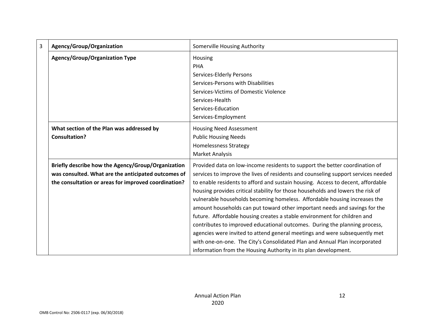| 3 | Agency/Group/Organization                            | Somerville Housing Authority                                                      |
|---|------------------------------------------------------|-----------------------------------------------------------------------------------|
|   | <b>Agency/Group/Organization Type</b>                | Housing                                                                           |
|   |                                                      | PHA                                                                               |
|   |                                                      | Services-Elderly Persons                                                          |
|   |                                                      | Services-Persons with Disabilities                                                |
|   |                                                      | Services-Victims of Domestic Violence                                             |
|   |                                                      | Services-Health                                                                   |
|   |                                                      | Services-Education                                                                |
|   |                                                      | Services-Employment                                                               |
|   | What section of the Plan was addressed by            | <b>Housing Need Assessment</b>                                                    |
|   | <b>Consultation?</b>                                 | <b>Public Housing Needs</b>                                                       |
|   |                                                      | <b>Homelessness Strategy</b>                                                      |
|   |                                                      | <b>Market Analysis</b>                                                            |
|   | Briefly describe how the Agency/Group/Organization   | Provided data on low-income residents to support the better coordination of       |
|   | was consulted. What are the anticipated outcomes of  | services to improve the lives of residents and counseling support services needed |
|   | the consultation or areas for improved coordination? | to enable residents to afford and sustain housing. Access to decent, affordable   |
|   |                                                      | housing provides critical stability for those households and lowers the risk of   |
|   |                                                      | vulnerable households becoming homeless. Affordable housing increases the         |
|   |                                                      | amount households can put toward other important needs and savings for the        |
|   |                                                      | future. Affordable housing creates a stable environment for children and          |
|   |                                                      | contributes to improved educational outcomes. During the planning process,        |
|   |                                                      | agencies were invited to attend general meetings and were subsequently met        |
|   |                                                      | with one-on-one. The City's Consolidated Plan and Annual Plan incorporated        |
|   |                                                      | information from the Housing Authority in its plan development.                   |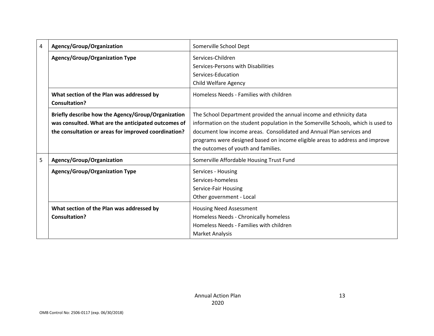| 4 | Agency/Group/Organization                            | Somerville School Dept                                                            |
|---|------------------------------------------------------|-----------------------------------------------------------------------------------|
|   | Agency/Group/Organization Type                       | Services-Children                                                                 |
|   |                                                      | Services-Persons with Disabilities                                                |
|   |                                                      | Services-Education                                                                |
|   |                                                      | Child Welfare Agency                                                              |
|   | What section of the Plan was addressed by            | Homeless Needs - Families with children                                           |
|   | <b>Consultation?</b>                                 |                                                                                   |
|   | Briefly describe how the Agency/Group/Organization   | The School Department provided the annual income and ethnicity data               |
|   | was consulted. What are the anticipated outcomes of  | information on the student population in the Somerville Schools, which is used to |
|   | the consultation or areas for improved coordination? | document low income areas. Consolidated and Annual Plan services and              |
|   |                                                      | programs were designed based on income eligible areas to address and improve      |
|   |                                                      | the outcomes of youth and families.                                               |
| 5 | Agency/Group/Organization                            | Somerville Affordable Housing Trust Fund                                          |
|   | Agency/Group/Organization Type                       | Services - Housing                                                                |
|   |                                                      | Services-homeless                                                                 |
|   |                                                      | Service-Fair Housing                                                              |
|   |                                                      | Other government - Local                                                          |
|   | What section of the Plan was addressed by            | <b>Housing Need Assessment</b>                                                    |
|   | Consultation?                                        | Homeless Needs - Chronically homeless                                             |
|   |                                                      | Homeless Needs - Families with children                                           |
|   |                                                      | <b>Market Analysis</b>                                                            |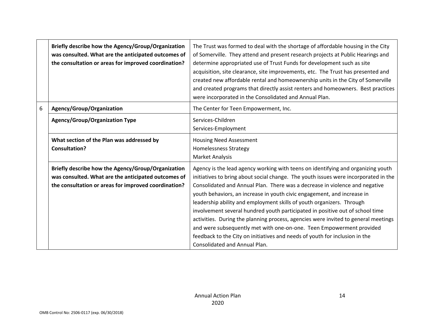|   | Briefly describe how the Agency/Group/Organization<br>was consulted. What are the anticipated outcomes of<br>the consultation or areas for improved coordination? | The Trust was formed to deal with the shortage of affordable housing in the City<br>of Somerville. They attend and present research projects at Public Hearings and<br>determine appropriated use of Trust Funds for development such as site<br>acquisition, site clearance, site improvements, etc. The Trust has presented and<br>created new affordable rental and homeownership units in the City of Somerville<br>and created programs that directly assist renters and homeowners. Best practices<br>were incorporated in the Consolidated and Annual Plan.                                                                                                                                                                                                        |
|---|-------------------------------------------------------------------------------------------------------------------------------------------------------------------|---------------------------------------------------------------------------------------------------------------------------------------------------------------------------------------------------------------------------------------------------------------------------------------------------------------------------------------------------------------------------------------------------------------------------------------------------------------------------------------------------------------------------------------------------------------------------------------------------------------------------------------------------------------------------------------------------------------------------------------------------------------------------|
| 6 | Agency/Group/Organization                                                                                                                                         | The Center for Teen Empowerment, Inc.                                                                                                                                                                                                                                                                                                                                                                                                                                                                                                                                                                                                                                                                                                                                     |
|   | Agency/Group/Organization Type                                                                                                                                    | Services-Children<br>Services-Employment                                                                                                                                                                                                                                                                                                                                                                                                                                                                                                                                                                                                                                                                                                                                  |
|   | What section of the Plan was addressed by<br><b>Consultation?</b>                                                                                                 | <b>Housing Need Assessment</b><br><b>Homelessness Strategy</b><br><b>Market Analysis</b>                                                                                                                                                                                                                                                                                                                                                                                                                                                                                                                                                                                                                                                                                  |
|   | Briefly describe how the Agency/Group/Organization<br>was consulted. What are the anticipated outcomes of<br>the consultation or areas for improved coordination? | Agency is the lead agency working with teens on identifying and organizing youth<br>initiatives to bring about social change. The youth issues were incorporated in the<br>Consolidated and Annual Plan. There was a decrease in violence and negative<br>youth behaviors, an increase in youth civic engagement, and increase in<br>leadership ability and employment skills of youth organizers. Through<br>involvement several hundred youth participated in positive out of school time<br>activities. During the planning process, agencies were invited to general meetings<br>and were subsequently met with one-on-one. Teen Empowerment provided<br>feedback to the City on initiatives and needs of youth for inclusion in the<br>Consolidated and Annual Plan. |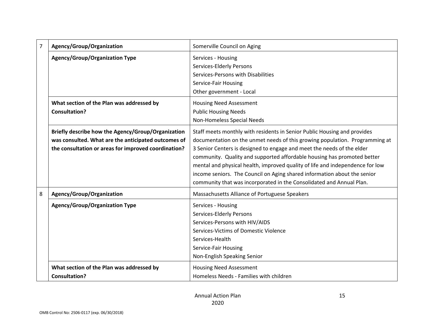| 7 | Agency/Group/Organization                                                                                                                                         | Somerville Council on Aging                                                                                                                                                                                                                                                                                                                                                                                                                                                                                                                       |
|---|-------------------------------------------------------------------------------------------------------------------------------------------------------------------|---------------------------------------------------------------------------------------------------------------------------------------------------------------------------------------------------------------------------------------------------------------------------------------------------------------------------------------------------------------------------------------------------------------------------------------------------------------------------------------------------------------------------------------------------|
|   | <b>Agency/Group/Organization Type</b>                                                                                                                             | Services - Housing<br>Services-Elderly Persons<br>Services-Persons with Disabilities<br>Service-Fair Housing<br>Other government - Local                                                                                                                                                                                                                                                                                                                                                                                                          |
|   | What section of the Plan was addressed by<br><b>Consultation?</b>                                                                                                 | <b>Housing Need Assessment</b><br><b>Public Housing Needs</b><br>Non-Homeless Special Needs                                                                                                                                                                                                                                                                                                                                                                                                                                                       |
|   | Briefly describe how the Agency/Group/Organization<br>was consulted. What are the anticipated outcomes of<br>the consultation or areas for improved coordination? | Staff meets monthly with residents in Senior Public Housing and provides<br>documentation on the unmet needs of this growing population. Programming at<br>3 Senior Centers is designed to engage and meet the needs of the elder<br>community. Quality and supported affordable housing has promoted better<br>mental and physical health, improved quality of life and independence for low<br>income seniors. The Council on Aging shared information about the senior<br>community that was incorporated in the Consolidated and Annual Plan. |
| 8 | Agency/Group/Organization                                                                                                                                         | Massachusetts Alliance of Portuguese Speakers                                                                                                                                                                                                                                                                                                                                                                                                                                                                                                     |
|   | <b>Agency/Group/Organization Type</b>                                                                                                                             | Services - Housing<br><b>Services-Elderly Persons</b><br>Services-Persons with HIV/AIDS<br>Services-Victims of Domestic Violence<br>Services-Health<br>Service-Fair Housing<br>Non-English Speaking Senior                                                                                                                                                                                                                                                                                                                                        |
|   | What section of the Plan was addressed by<br><b>Consultation?</b>                                                                                                 | <b>Housing Need Assessment</b><br>Homeless Needs - Families with children                                                                                                                                                                                                                                                                                                                                                                                                                                                                         |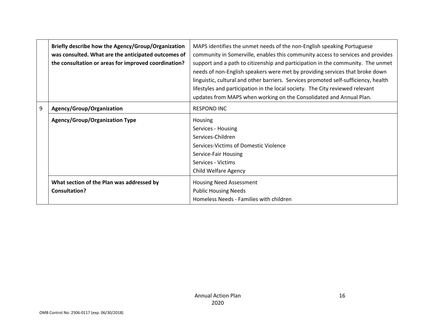|   | Briefly describe how the Agency/Group/Organization<br>was consulted. What are the anticipated outcomes of<br>the consultation or areas for improved coordination? | MAPS identifies the unmet needs of the non-English speaking Portuguese<br>community in Somerville, enables this community access to services and provides<br>support and a path to citizenship and participation in the community. The unmet<br>needs of non-English speakers were met by providing services that broke down<br>linguistic, cultural and other barriers. Services promoted self-sufficiency, health<br>lifestyles and participation in the local society. The City reviewed relevant<br>updates from MAPS when working on the Consolidated and Annual Plan. |
|---|-------------------------------------------------------------------------------------------------------------------------------------------------------------------|-----------------------------------------------------------------------------------------------------------------------------------------------------------------------------------------------------------------------------------------------------------------------------------------------------------------------------------------------------------------------------------------------------------------------------------------------------------------------------------------------------------------------------------------------------------------------------|
| 9 | Agency/Group/Organization                                                                                                                                         | <b>RESPOND INC</b>                                                                                                                                                                                                                                                                                                                                                                                                                                                                                                                                                          |
|   | <b>Agency/Group/Organization Type</b>                                                                                                                             | <b>Housing</b><br>Services - Housing<br>Services-Children<br>Services-Victims of Domestic Violence<br>Service-Fair Housing<br>Services - Victims<br><b>Child Welfare Agency</b>                                                                                                                                                                                                                                                                                                                                                                                             |
|   | What section of the Plan was addressed by<br><b>Consultation?</b>                                                                                                 | Housing Need Assessment<br><b>Public Housing Needs</b><br>Homeless Needs - Families with children                                                                                                                                                                                                                                                                                                                                                                                                                                                                           |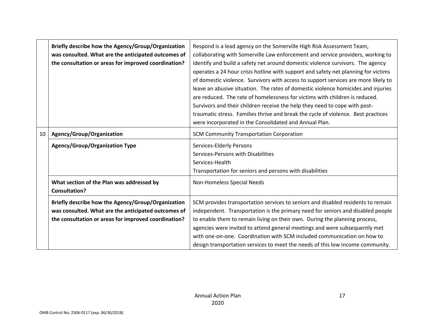|    | Briefly describe how the Agency/Group/Organization<br>was consulted. What are the anticipated outcomes of<br>the consultation or areas for improved coordination? | Respond is a lead agency on the Somerville High Risk Assessment Team,<br>collaborating with Somerville Law enforcement and service providers, working to<br>identify and build a safety net around domestic violence survivors. The agency<br>operates a 24 hour crisis hotline with support and safety net planning for victims<br>of domestic violence. Survivors with access to support services are more likely to<br>leave an abusive situation. The rates of domestic violence homicides and injuries<br>are reduced. The rate of homelessness for victims with children is reduced.<br>Survivors and their children receive the help they need to cope with post-<br>traumatic stress. Families thrive and break the cycle of violence. Best practices<br>were incorporated in the Consolidated and Annual Plan. |
|----|-------------------------------------------------------------------------------------------------------------------------------------------------------------------|-------------------------------------------------------------------------------------------------------------------------------------------------------------------------------------------------------------------------------------------------------------------------------------------------------------------------------------------------------------------------------------------------------------------------------------------------------------------------------------------------------------------------------------------------------------------------------------------------------------------------------------------------------------------------------------------------------------------------------------------------------------------------------------------------------------------------|
| 10 | Agency/Group/Organization                                                                                                                                         | <b>SCM Community Transportation Corporation</b>                                                                                                                                                                                                                                                                                                                                                                                                                                                                                                                                                                                                                                                                                                                                                                         |
|    | Agency/Group/Organization Type                                                                                                                                    | Services-Elderly Persons<br>Services-Persons with Disabilities<br>Services-Health<br>Transportation for seniors and persons with disabilities                                                                                                                                                                                                                                                                                                                                                                                                                                                                                                                                                                                                                                                                           |
|    | What section of the Plan was addressed by<br><b>Consultation?</b>                                                                                                 | Non-Homeless Special Needs                                                                                                                                                                                                                                                                                                                                                                                                                                                                                                                                                                                                                                                                                                                                                                                              |
|    | Briefly describe how the Agency/Group/Organization<br>was consulted. What are the anticipated outcomes of<br>the consultation or areas for improved coordination? | SCM provides transportation services to seniors and disabled residents to remain<br>independent. Transportation is the primary need for seniors and disabled people<br>to enable them to remain living on their own. During the planning process,<br>agencies were invited to attend general meetings and were subsequently met<br>with one-on-one. Coordination with SCM included communication on how to<br>design transportation services to meet the needs of this low income community.                                                                                                                                                                                                                                                                                                                            |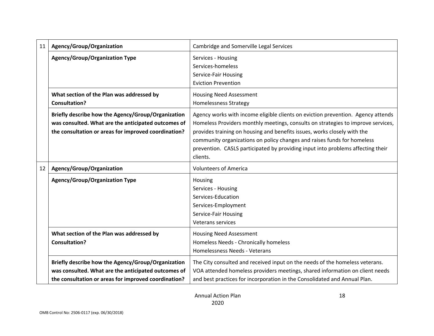| 11 | Agency/Group/Organization                                                                                                                                         | Cambridge and Somerville Legal Services                                                                                                                                                                                                                                                                                                                                                                                    |
|----|-------------------------------------------------------------------------------------------------------------------------------------------------------------------|----------------------------------------------------------------------------------------------------------------------------------------------------------------------------------------------------------------------------------------------------------------------------------------------------------------------------------------------------------------------------------------------------------------------------|
|    | <b>Agency/Group/Organization Type</b>                                                                                                                             | Services - Housing<br>Services-homeless<br>Service-Fair Housing<br><b>Eviction Prevention</b>                                                                                                                                                                                                                                                                                                                              |
|    | What section of the Plan was addressed by<br><b>Consultation?</b>                                                                                                 | <b>Housing Need Assessment</b><br><b>Homelessness Strategy</b>                                                                                                                                                                                                                                                                                                                                                             |
|    | Briefly describe how the Agency/Group/Organization<br>was consulted. What are the anticipated outcomes of<br>the consultation or areas for improved coordination? | Agency works with income eligible clients on eviction prevention. Agency attends<br>Homeless Providers monthly meetings, consults on strategies to improve services,<br>provides training on housing and benefits issues, works closely with the<br>community organizations on policy changes and raises funds for homeless<br>prevention. CASLS participated by providing input into problems affecting their<br>clients. |
| 12 | Agency/Group/Organization                                                                                                                                         | <b>Volunteers of America</b>                                                                                                                                                                                                                                                                                                                                                                                               |
|    | <b>Agency/Group/Organization Type</b>                                                                                                                             | Housing<br>Services - Housing<br>Services-Education<br>Services-Employment<br>Service-Fair Housing<br>Veterans services                                                                                                                                                                                                                                                                                                    |
|    | What section of the Plan was addressed by<br><b>Consultation?</b>                                                                                                 | <b>Housing Need Assessment</b><br>Homeless Needs - Chronically homeless<br>Homelessness Needs - Veterans                                                                                                                                                                                                                                                                                                                   |
|    |                                                                                                                                                                   |                                                                                                                                                                                                                                                                                                                                                                                                                            |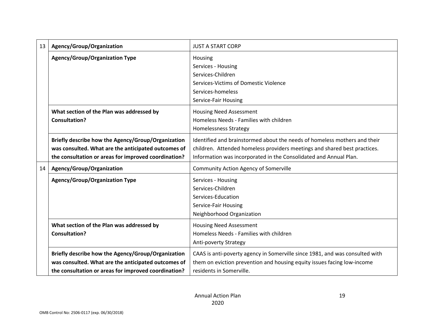| 13 | Agency/Group/Organization                            | <b>JUST A START CORP</b>                                                     |
|----|------------------------------------------------------|------------------------------------------------------------------------------|
|    | <b>Agency/Group/Organization Type</b>                | Housing                                                                      |
|    |                                                      | Services - Housing                                                           |
|    |                                                      | Services-Children                                                            |
|    |                                                      | Services-Victims of Domestic Violence                                        |
|    |                                                      | Services-homeless                                                            |
|    |                                                      | Service-Fair Housing                                                         |
|    | What section of the Plan was addressed by            | <b>Housing Need Assessment</b>                                               |
|    | <b>Consultation?</b>                                 | Homeless Needs - Families with children                                      |
|    |                                                      | <b>Homelessness Strategy</b>                                                 |
|    | Briefly describe how the Agency/Group/Organization   | Identified and brainstormed about the needs of homeless mothers and their    |
|    | was consulted. What are the anticipated outcomes of  | children. Attended homeless providers meetings and shared best practices.    |
|    | the consultation or areas for improved coordination? | Information was incorporated in the Consolidated and Annual Plan.            |
| 14 | Agency/Group/Organization                            | <b>Community Action Agency of Somerville</b>                                 |
|    | <b>Agency/Group/Organization Type</b>                | Services - Housing                                                           |
|    |                                                      | Services-Children                                                            |
|    |                                                      | Services-Education                                                           |
|    |                                                      | Service-Fair Housing                                                         |
|    |                                                      | Neighborhood Organization                                                    |
|    | What section of the Plan was addressed by            | Housing Need Assessment                                                      |
|    | <b>Consultation?</b>                                 | Homeless Needs - Families with children                                      |
|    |                                                      | Anti-poverty Strategy                                                        |
|    | Briefly describe how the Agency/Group/Organization   | CAAS is anti-poverty agency in Somerville since 1981, and was consulted with |
|    | was consulted. What are the anticipated outcomes of  | them on eviction prevention and housing equity issues facing low-income      |
|    | the consultation or areas for improved coordination? | residents in Somerville.                                                     |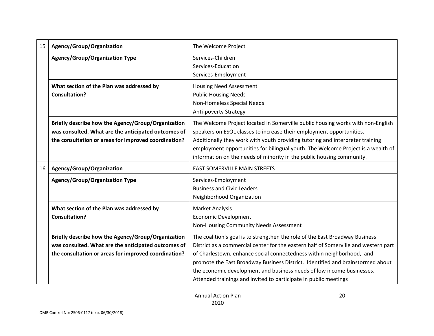| 15 | Agency/Group/Organization                                                                                                                                         | The Welcome Project                                                                                                                                                                                                                                                                                                                                                                                                                                                         |  |  |  |  |
|----|-------------------------------------------------------------------------------------------------------------------------------------------------------------------|-----------------------------------------------------------------------------------------------------------------------------------------------------------------------------------------------------------------------------------------------------------------------------------------------------------------------------------------------------------------------------------------------------------------------------------------------------------------------------|--|--|--|--|
|    | <b>Agency/Group/Organization Type</b>                                                                                                                             | Services-Children<br>Services-Education<br>Services-Employment                                                                                                                                                                                                                                                                                                                                                                                                              |  |  |  |  |
|    | What section of the Plan was addressed by<br><b>Consultation?</b>                                                                                                 | <b>Housing Need Assessment</b><br><b>Public Housing Needs</b><br>Non-Homeless Special Needs<br>Anti-poverty Strategy                                                                                                                                                                                                                                                                                                                                                        |  |  |  |  |
|    | Briefly describe how the Agency/Group/Organization<br>was consulted. What are the anticipated outcomes of<br>the consultation or areas for improved coordination? | The Welcome Project located in Somerville public housing works with non-English<br>speakers on ESOL classes to increase their employment opportunities.<br>Additionally they work with youth providing tutoring and interpreter training<br>employment opportunities for bilingual youth. The Welcome Project is a wealth of<br>information on the needs of minority in the public housing community.                                                                       |  |  |  |  |
| 16 | Agency/Group/Organization                                                                                                                                         | <b>EAST SOMERVILLE MAIN STREETS</b>                                                                                                                                                                                                                                                                                                                                                                                                                                         |  |  |  |  |
|    | <b>Agency/Group/Organization Type</b>                                                                                                                             | Services-Employment<br><b>Business and Civic Leaders</b><br>Neighborhood Organization                                                                                                                                                                                                                                                                                                                                                                                       |  |  |  |  |
|    | What section of the Plan was addressed by<br><b>Consultation?</b>                                                                                                 | <b>Market Analysis</b><br><b>Economic Development</b><br>Non-Housing Community Needs Assessment                                                                                                                                                                                                                                                                                                                                                                             |  |  |  |  |
|    | Briefly describe how the Agency/Group/Organization<br>was consulted. What are the anticipated outcomes of<br>the consultation or areas for improved coordination? | The coalition's goal is to strengthen the role of the East Broadway Business<br>District as a commercial center for the eastern half of Somerville and western part<br>of Charlestown, enhance social connectedness within neighborhood, and<br>promote the East Broadway Business District. Identified and brainstormed about<br>the economic development and business needs of low income businesses.<br>Attended trainings and invited to participate in public meetings |  |  |  |  |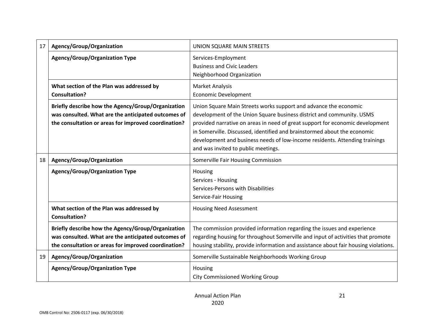| 17 | Agency/Group/Organization                                                                                                                                         | UNION SQUARE MAIN STREETS                                                                                                                                                                                                                           |  |  |  |  |
|----|-------------------------------------------------------------------------------------------------------------------------------------------------------------------|-----------------------------------------------------------------------------------------------------------------------------------------------------------------------------------------------------------------------------------------------------|--|--|--|--|
|    | <b>Agency/Group/Organization Type</b>                                                                                                                             | Services-Employment<br><b>Business and Civic Leaders</b>                                                                                                                                                                                            |  |  |  |  |
|    |                                                                                                                                                                   | Neighborhood Organization                                                                                                                                                                                                                           |  |  |  |  |
|    | What section of the Plan was addressed by                                                                                                                         | <b>Market Analysis</b>                                                                                                                                                                                                                              |  |  |  |  |
|    | <b>Consultation?</b>                                                                                                                                              | <b>Economic Development</b>                                                                                                                                                                                                                         |  |  |  |  |
|    | Briefly describe how the Agency/Group/Organization<br>was consulted. What are the anticipated outcomes of<br>the consultation or areas for improved coordination? | Union Square Main Streets works support and advance the economic<br>development of the Union Square business district and community. USMS<br>provided narrative on areas in need of great support for economic development                          |  |  |  |  |
|    |                                                                                                                                                                   | in Somerville. Discussed, identified and brainstormed about the economic<br>development and business needs of low-income residents. Attending trainings<br>and was invited to public meetings.                                                      |  |  |  |  |
| 18 | Agency/Group/Organization                                                                                                                                         | Somerville Fair Housing Commission                                                                                                                                                                                                                  |  |  |  |  |
|    | <b>Agency/Group/Organization Type</b>                                                                                                                             | Housing<br>Services - Housing<br>Services-Persons with Disabilities<br>Service-Fair Housing                                                                                                                                                         |  |  |  |  |
|    | What section of the Plan was addressed by<br><b>Consultation?</b>                                                                                                 | <b>Housing Need Assessment</b>                                                                                                                                                                                                                      |  |  |  |  |
|    | Briefly describe how the Agency/Group/Organization<br>was consulted. What are the anticipated outcomes of<br>the consultation or areas for improved coordination? | The commission provided information regarding the issues and experience<br>regarding housing for throughout Somerville and input of activities that promote<br>housing stability, provide information and assistance about fair housing violations. |  |  |  |  |
| 19 | Agency/Group/Organization                                                                                                                                         | Somerville Sustainable Neighborhoods Working Group                                                                                                                                                                                                  |  |  |  |  |
|    | <b>Agency/Group/Organization Type</b>                                                                                                                             | Housing<br><b>City Commissioned Working Group</b>                                                                                                                                                                                                   |  |  |  |  |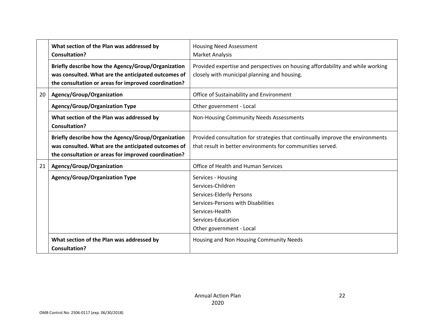|    | What section of the Plan was addressed by            | <b>Housing Need Assessment</b>                                                 |
|----|------------------------------------------------------|--------------------------------------------------------------------------------|
|    | <b>Consultation?</b>                                 | <b>Market Analysis</b>                                                         |
|    | Briefly describe how the Agency/Group/Organization   | Provided expertise and perspectives on housing affordability and while working |
|    | was consulted. What are the anticipated outcomes of  | closely with municipal planning and housing.                                   |
|    | the consultation or areas for improved coordination? |                                                                                |
| 20 | Agency/Group/Organization                            | Office of Sustainability and Environment                                       |
|    | <b>Agency/Group/Organization Type</b>                | Other government - Local                                                       |
|    | What section of the Plan was addressed by            | Non-Housing Community Needs Assessments                                        |
|    | <b>Consultation?</b>                                 |                                                                                |
|    | Briefly describe how the Agency/Group/Organization   | Provided consultation for strategies that continually improve the environments |
|    | was consulted. What are the anticipated outcomes of  | that result in better environments for communities served.                     |
|    | the consultation or areas for improved coordination? |                                                                                |
| 21 | Agency/Group/Organization                            | Office of Health and Human Services                                            |
|    | Agency/Group/Organization Type                       | Services - Housing                                                             |
|    |                                                      | Services-Children                                                              |
|    |                                                      | Services-Elderly Persons                                                       |
|    |                                                      | Services-Persons with Disabilities                                             |
|    |                                                      | Services-Health                                                                |
|    |                                                      | Services-Education                                                             |
|    |                                                      | Other government - Local                                                       |
|    | What section of the Plan was addressed by            | Housing and Non Housing Community Needs                                        |
|    | <b>Consultation?</b>                                 |                                                                                |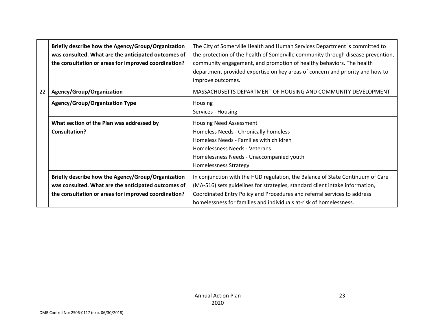|    | Briefly describe how the Agency/Group/Organization<br>was consulted. What are the anticipated outcomes of<br>the consultation or areas for improved coordination? | The City of Somerville Health and Human Services Department is committed to<br>the protection of the health of Somerville community through disease prevention,<br>community engagement, and promotion of healthy behaviors. The health<br>department provided expertise on key areas of concern and priority and how to<br>improve outcomes. |
|----|-------------------------------------------------------------------------------------------------------------------------------------------------------------------|-----------------------------------------------------------------------------------------------------------------------------------------------------------------------------------------------------------------------------------------------------------------------------------------------------------------------------------------------|
| 22 | Agency/Group/Organization                                                                                                                                         | MASSACHUSETTS DEPARTMENT OF HOUSING AND COMMUNITY DEVELOPMENT                                                                                                                                                                                                                                                                                 |
|    | <b>Agency/Group/Organization Type</b>                                                                                                                             | Housing<br>Services - Housing                                                                                                                                                                                                                                                                                                                 |
|    | What section of the Plan was addressed by<br><b>Consultation?</b>                                                                                                 | <b>Housing Need Assessment</b><br>Homeless Needs - Chronically homeless<br>Homeless Needs - Families with children<br>Homelessness Needs - Veterans<br>Homelessness Needs - Unaccompanied youth<br><b>Homelessness Strategy</b>                                                                                                               |
|    | Briefly describe how the Agency/Group/Organization<br>was consulted. What are the anticipated outcomes of<br>the consultation or areas for improved coordination? | In conjunction with the HUD regulation, the Balance of State Continuum of Care<br>(MA-516) sets guidelines for strategies, standard client intake information,<br>Coordinated Entry Policy and Procedures and referral services to address<br>homelessness for families and individuals at-risk of homelessness.                              |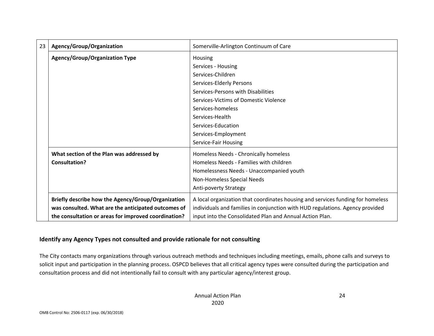| 23 | Agency/Group/Organization                            | Somerville-Arlington Continuum of Care                                          |
|----|------------------------------------------------------|---------------------------------------------------------------------------------|
|    | <b>Agency/Group/Organization Type</b>                | Housing                                                                         |
|    |                                                      | Services - Housing                                                              |
|    |                                                      | Services-Children                                                               |
|    |                                                      | Services-Elderly Persons                                                        |
|    |                                                      | Services-Persons with Disabilities                                              |
|    |                                                      | Services-Victims of Domestic Violence                                           |
|    |                                                      | Services-homeless                                                               |
|    |                                                      | Services-Health                                                                 |
|    |                                                      | Services-Education                                                              |
|    |                                                      | Services-Employment                                                             |
|    |                                                      | Service-Fair Housing                                                            |
|    | What section of the Plan was addressed by            | Homeless Needs - Chronically homeless                                           |
|    | <b>Consultation?</b>                                 | Homeless Needs - Families with children                                         |
|    |                                                      | Homelessness Needs - Unaccompanied youth                                        |
|    |                                                      | Non-Homeless Special Needs                                                      |
|    |                                                      | Anti-poverty Strategy                                                           |
|    | Briefly describe how the Agency/Group/Organization   | A local organization that coordinates housing and services funding for homeless |
|    | was consulted. What are the anticipated outcomes of  | individuals and families in conjunction with HUD regulations. Agency provided   |
|    | the consultation or areas for improved coordination? | input into the Consolidated Plan and Annual Action Plan.                        |

#### **Identify any Agency Types not consulted and provide rationale for not consulting**

The City contacts many organizations through various outreach methods and techniques including meetings, emails, phone calls and surveys to solicit input and participation in the planning process. OSPCD believes that all critical agency types were consulted during the participation and consultation process and did not intentionally fail to consult with any particular agency/interest group.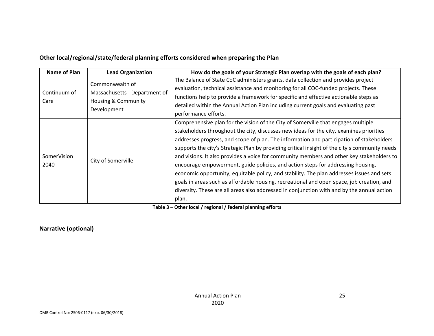#### **Other local/regional/state/federal planning efforts considered when preparing the Plan**

| Name of Plan         | <b>Lead Organization</b>                                                               | How do the goals of your Strategic Plan overlap with the goals of each plan?                                                                                                                                                                                                                                                                                                                                                                                                                                                                                                                                                                                                                                                                                                                                                                                |
|----------------------|----------------------------------------------------------------------------------------|-------------------------------------------------------------------------------------------------------------------------------------------------------------------------------------------------------------------------------------------------------------------------------------------------------------------------------------------------------------------------------------------------------------------------------------------------------------------------------------------------------------------------------------------------------------------------------------------------------------------------------------------------------------------------------------------------------------------------------------------------------------------------------------------------------------------------------------------------------------|
| Continuum of<br>Care | Commonwealth of<br>Massachusetts - Department of<br>Housing & Community<br>Development | The Balance of State CoC administers grants, data collection and provides project<br>evaluation, technical assistance and monitoring for all COC-funded projects. These<br>functions help to provide a framework for specific and effective actionable steps as<br>detailed within the Annual Action Plan including current goals and evaluating past<br>performance efforts.                                                                                                                                                                                                                                                                                                                                                                                                                                                                               |
| SomerVision<br>2040  | City of Somerville                                                                     | Comprehensive plan for the vision of the City of Somerville that engages multiple<br>stakeholders throughout the city, discusses new ideas for the city, examines priorities<br>addresses progress, and scope of plan. The information and participation of stakeholders<br>supports the city's Strategic Plan by providing critical insight of the city's community needs<br>and visions. It also provides a voice for community members and other key stakeholders to<br>encourage empowerment, guide policies, and action steps for addressing housing,<br>economic opportunity, equitable policy, and stability. The plan addresses issues and sets<br>goals in areas such as affordable housing, recreational and open space, job creation, and<br>diversity. These are all areas also addressed in conjunction with and by the annual action<br>plan. |

**Table 3 – Other local / regional / federal planning efforts** 

#### **Narrative (optional)**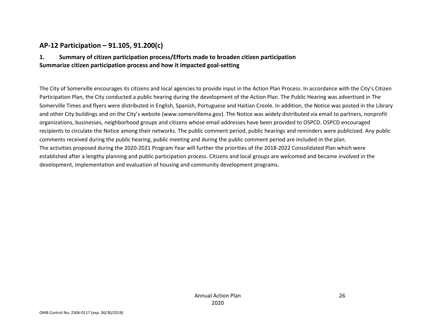#### **AP‐12 Participation – 91.105, 91.200(c)**

#### **1. Summary of citizen participation process/Efforts made to broaden citizen participation Summarize citizen participation process and how it impacted goal‐setting**

The City of Somerville encourages its citizens and local agencies to provide input in the Action Plan Process. In accordance with the City's Citizen Participation Plan, the City conducted a public hearing during the development of the Action Plan. The Public Hearing was advertised in The Somerville Times and flyers were distributed in English, Spanish, Portuguese and Haitian Creole. In addition, the Notice was posted in the Library and other City buildings and on the City's website (www.somervillema.gov). The Notice was widely distributed via email to partners, nonprofit organizations, businesses, neighborhood groups and citizens whose email addresses have been provided to OSPCD. OSPCD encouraged recipients to circulate the Notice among their networks. The public comment period, public hearings and reminders were publicized. Any public comments received during the public hearing, public meeting and during the public comment period are included in the plan. The activities proposed during the 2020‐2021 Program Year will further the priorities of the 2018‐2022 Consolidated Plan which were established after a lengthy planning and public participation process. Citizens and local groups are welcomed and became involved in the development, implementation and evaluation of housing and community development programs.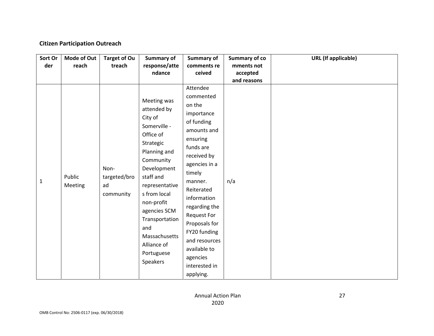#### **Citizen Participation Outreach**

| Sort Or<br>der | <b>Mode of Out</b><br>reach | <b>Target of Ou</b><br>treach           | <b>Summary of</b><br>response/atte<br>ndance                                                                                                                                                                                                                                                | <b>Summary of</b><br>comments re<br>ceived                                                                                                                                                                                                                                                                                               | <b>Summary of co</b><br>mments not<br>accepted<br>and reasons | <b>URL</b> (If applicable) |
|----------------|-----------------------------|-----------------------------------------|---------------------------------------------------------------------------------------------------------------------------------------------------------------------------------------------------------------------------------------------------------------------------------------------|------------------------------------------------------------------------------------------------------------------------------------------------------------------------------------------------------------------------------------------------------------------------------------------------------------------------------------------|---------------------------------------------------------------|----------------------------|
| $\mathbf{1}$   | Public<br>Meeting           | Non-<br>targeted/bro<br>ad<br>community | Meeting was<br>attended by<br>City of<br>Somerville -<br>Office of<br>Strategic<br>Planning and<br>Community<br>Development<br>staff and<br>representative<br>s from local<br>non-profit<br>agencies SCM<br>Transportation<br>and<br>Massachusetts<br>Alliance of<br>Portuguese<br>Speakers | Attendee<br>commented<br>on the<br>importance<br>of funding<br>amounts and<br>ensuring<br>funds are<br>received by<br>agencies in a<br>timely<br>manner.<br>Reiterated<br>information<br>regarding the<br><b>Request For</b><br>Proposals for<br>FY20 funding<br>and resources<br>available to<br>agencies<br>interested in<br>applying. | n/a                                                           |                            |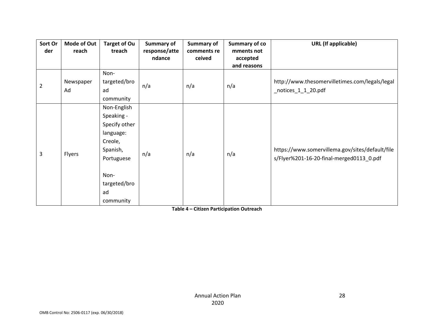| Sort Or<br>der | <b>Mode of Out</b><br>reach | <b>Target of Ou</b><br>treach                                                                                                           | Summary of<br>response/atte<br>ndance | Summary of<br>comments re<br>ceived | <b>Summary of co</b><br>mments not<br>accepted<br>and reasons | <b>URL</b> (If applicable)                                                                  |
|----------------|-----------------------------|-----------------------------------------------------------------------------------------------------------------------------------------|---------------------------------------|-------------------------------------|---------------------------------------------------------------|---------------------------------------------------------------------------------------------|
| $\overline{2}$ | Newspaper<br>Ad             | Non-<br>targeted/bro<br>ad<br>community                                                                                                 | n/a                                   | n/a                                 | n/a                                                           | http://www.thesomervilletimes.com/legals/legal<br>_notices_1_1_20.pdf                       |
| 3              | Flyers                      | Non-English<br>Speaking -<br>Specify other<br>language:<br>Creole,<br>Spanish,<br>Portuguese<br>Non-<br>targeted/bro<br>ad<br>community | n/a                                   | n/a                                 | n/a                                                           | https://www.somervillema.gov/sites/default/file<br>s/Flyer%201-16-20-final-merged0113 0.pdf |

**Table 4 – Citizen Participation Outreach**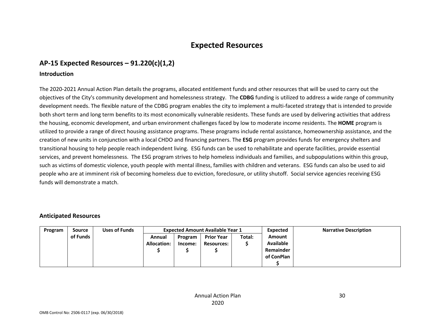### **Expected Resources**

#### **AP‐15 Expected Resources – 91.220(c)(1,2)**

#### **Introduction**

The 2020‐2021 Annual Action Plan details the programs, allocated entitlement funds and other resources that will be used to carry out the objectives of the City's community development and homelessness strategy. The **CDBG** funding is utilized to address a wide range of community development needs. The flexible nature of the CDBG program enables the city to implement a multi-faceted strategy that is intended to provide both short term and long term benefits to its most economically vulnerable residents. These funds are used by delivering activities that address the housing, economic development, and urban environment challenges faced by low to moderate income residents. The **HOME** program is utilized to provide a range of direct housing assistance programs. These programs include rental assistance, homeownership assistance, and the creation of new units in conjunction with a local CHDO and financing partners. The **ESG** program provides funds for emergency shelters and transitional housing to help people reach independent living. ESG funds can be used to rehabilitate and operate facilities, provide essential services, and prevent homelessness. The ESG program strives to help homeless individuals and families, and subpopulations within this group, such as victims of domestic violence, youth people with mental illness, families with children and veterans. ESG funds can also be used to aid people who are at imminent risk of becoming homeless due to eviction, foreclosure, or utility shutoff. Social service agencies receiving ESG funds will demonstrate a match.

#### **Anticipated Resources**

| Program | Source   | <b>Uses of Funds</b> | <b>Expected Amount Available Year 1</b> |         |                   |        | Expected         | <b>Narrative Description</b> |
|---------|----------|----------------------|-----------------------------------------|---------|-------------------|--------|------------------|------------------------------|
|         | of Funds |                      | Annual                                  | Program | <b>Prior Year</b> | Total: | Amount           |                              |
|         |          |                      | <b>Allocation:</b>                      | Income: | <b>Resources:</b> |        | <b>Available</b> |                              |
|         |          |                      |                                         |         |                   |        | Remainder        |                              |
|         |          |                      |                                         |         |                   |        | of ConPlan       |                              |
|         |          |                      |                                         |         |                   |        |                  |                              |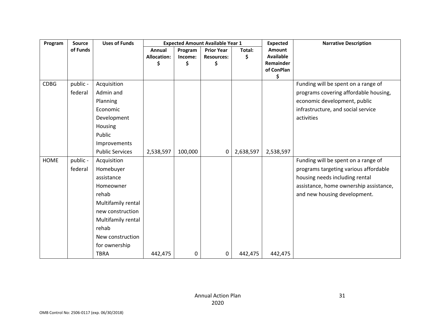| Program     | Source   | <b>Uses of Funds</b>   |                    |               | <b>Expected Amount Available Year 1</b> |           | <b>Expected</b>               | <b>Narrative Description</b>           |
|-------------|----------|------------------------|--------------------|---------------|-----------------------------------------|-----------|-------------------------------|----------------------------------------|
|             | of Funds |                        | Annual             | Program       | <b>Prior Year</b>                       | Total:    | <b>Amount</b>                 |                                        |
|             |          |                        | <b>Allocation:</b> | Income:<br>\$ | <b>Resources:</b><br>\$                 | \$        | Available<br><b>Remainder</b> |                                        |
|             |          |                        |                    |               |                                         |           | of ConPlan                    |                                        |
|             |          |                        |                    |               |                                         |           | \$                            |                                        |
| <b>CDBG</b> | public - | Acquisition            |                    |               |                                         |           |                               | Funding will be spent on a range of    |
|             | federal  | Admin and              |                    |               |                                         |           |                               | programs covering affordable housing,  |
|             |          | Planning               |                    |               |                                         |           |                               | economic development, public           |
|             |          | Economic               |                    |               |                                         |           |                               | infrastructure, and social service     |
|             |          | Development            |                    |               |                                         |           |                               | activities                             |
|             |          | Housing                |                    |               |                                         |           |                               |                                        |
|             |          | Public                 |                    |               |                                         |           |                               |                                        |
|             |          | Improvements           |                    |               |                                         |           |                               |                                        |
|             |          | <b>Public Services</b> | 2,538,597          | 100,000       | 0                                       | 2,638,597 | 2,538,597                     |                                        |
| <b>HOME</b> | public - | Acquisition            |                    |               |                                         |           |                               | Funding will be spent on a range of    |
|             | federal  | Homebuyer              |                    |               |                                         |           |                               | programs targeting various affordable  |
|             |          | assistance             |                    |               |                                         |           |                               | housing needs including rental         |
|             |          | Homeowner              |                    |               |                                         |           |                               | assistance, home ownership assistance, |
|             |          | rehab                  |                    |               |                                         |           |                               | and new housing development.           |
|             |          | Multifamily rental     |                    |               |                                         |           |                               |                                        |
|             |          | new construction       |                    |               |                                         |           |                               |                                        |
|             |          | Multifamily rental     |                    |               |                                         |           |                               |                                        |
|             |          | rehab                  |                    |               |                                         |           |                               |                                        |
|             |          | New construction       |                    |               |                                         |           |                               |                                        |
|             |          | for ownership          |                    |               |                                         |           |                               |                                        |
|             |          | <b>TBRA</b>            | 442,475            | 0             | 0                                       | 442,475   | 442,475                       |                                        |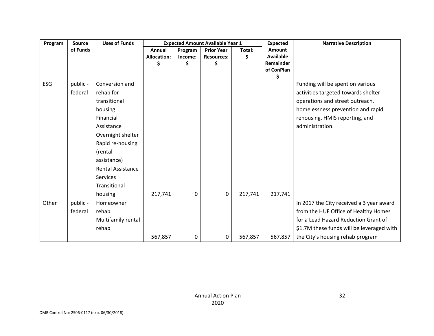| Program    | <b>Source</b> | <b>Uses of Funds</b>     |                    |         | <b>Expected Amount Available Year 1</b> |         | <b>Expected</b>  | <b>Narrative Description</b>              |
|------------|---------------|--------------------------|--------------------|---------|-----------------------------------------|---------|------------------|-------------------------------------------|
|            | of Funds      |                          | Annual             | Program | <b>Prior Year</b>                       | Total:  | Amount           |                                           |
|            |               |                          | <b>Allocation:</b> | Income: | <b>Resources:</b>                       | \$      | <b>Available</b> |                                           |
|            |               |                          |                    | \$      |                                         |         | Remainder        |                                           |
|            |               |                          |                    |         |                                         |         | of ConPlan<br>\$ |                                           |
| <b>ESG</b> | public -      | Conversion and           |                    |         |                                         |         |                  | Funding will be spent on various          |
|            | federal       | rehab for                |                    |         |                                         |         |                  | activities targeted towards shelter       |
|            |               | transitional             |                    |         |                                         |         |                  | operations and street outreach,           |
|            |               | housing                  |                    |         |                                         |         |                  | homelessness prevention and rapid         |
|            |               | Financial                |                    |         |                                         |         |                  | rehousing, HMIS reporting, and            |
|            |               | Assistance               |                    |         |                                         |         |                  | administration.                           |
|            |               | Overnight shelter        |                    |         |                                         |         |                  |                                           |
|            |               | Rapid re-housing         |                    |         |                                         |         |                  |                                           |
|            |               | (rental                  |                    |         |                                         |         |                  |                                           |
|            |               | assistance)              |                    |         |                                         |         |                  |                                           |
|            |               | <b>Rental Assistance</b> |                    |         |                                         |         |                  |                                           |
|            |               | Services                 |                    |         |                                         |         |                  |                                           |
|            |               | Transitional             |                    |         |                                         |         |                  |                                           |
|            |               | housing                  | 217,741            | 0       | 0                                       | 217,741 | 217,741          |                                           |
| Other      | public -      | Homeowner                |                    |         |                                         |         |                  | In 2017 the City received a 3 year award  |
|            | federal       | rehab                    |                    |         |                                         |         |                  | from the HUF Office of Healthy Homes      |
|            |               | Multifamily rental       |                    |         |                                         |         |                  | for a Lead Hazard Reduction Grant of      |
|            |               | rehab                    |                    |         |                                         |         |                  | \$1.7M these funds will be leveraged with |
|            |               |                          | 567,857            | 0       | 0                                       | 567,857 | 567,857          | the City's housing rehab program          |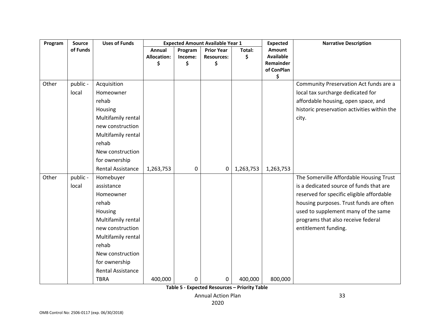| Program | <b>Source</b> | <b>Uses of Funds</b>     |                    |         | <b>Expected Amount Available Year 1</b> |           | <b>Expected</b>  | <b>Narrative Description</b>                |
|---------|---------------|--------------------------|--------------------|---------|-----------------------------------------|-----------|------------------|---------------------------------------------|
|         | of Funds      |                          | <b>Annual</b>      | Program | <b>Prior Year</b>                       | Total:    | Amount           |                                             |
|         |               |                          | <b>Allocation:</b> | Income: | <b>Resources:</b>                       | \$        | <b>Available</b> |                                             |
|         |               |                          | \$                 | \$      | \$                                      |           | Remainder        |                                             |
|         |               |                          |                    |         |                                         |           | of ConPlan<br>\$ |                                             |
| Other   | public -      | Acquisition              |                    |         |                                         |           |                  | Community Preservation Act funds are a      |
|         | local         | Homeowner                |                    |         |                                         |           |                  | local tax surcharge dedicated for           |
|         |               | rehab                    |                    |         |                                         |           |                  | affordable housing, open space, and         |
|         |               | Housing                  |                    |         |                                         |           |                  | historic preservation activities within the |
|         |               | Multifamily rental       |                    |         |                                         |           |                  | city.                                       |
|         |               | new construction         |                    |         |                                         |           |                  |                                             |
|         |               | Multifamily rental       |                    |         |                                         |           |                  |                                             |
|         |               | rehab                    |                    |         |                                         |           |                  |                                             |
|         |               | New construction         |                    |         |                                         |           |                  |                                             |
|         |               | for ownership            |                    |         |                                         |           |                  |                                             |
|         |               | <b>Rental Assistance</b> | 1,263,753          | 0       | $\mathbf 0$                             | 1,263,753 | 1,263,753        |                                             |
| Other   | public -      | Homebuyer                |                    |         |                                         |           |                  | The Somerville Affordable Housing Trust     |
|         | local         | assistance               |                    |         |                                         |           |                  | is a dedicated source of funds that are     |
|         |               | Homeowner                |                    |         |                                         |           |                  | reserved for specific eligible affordable   |
|         |               | rehab                    |                    |         |                                         |           |                  | housing purposes. Trust funds are often     |
|         |               | Housing                  |                    |         |                                         |           |                  | used to supplement many of the same         |
|         |               | Multifamily rental       |                    |         |                                         |           |                  | programs that also receive federal          |
|         |               | new construction         |                    |         |                                         |           |                  | entitlement funding.                        |
|         |               | Multifamily rental       |                    |         |                                         |           |                  |                                             |
|         |               | rehab                    |                    |         |                                         |           |                  |                                             |
|         |               | New construction         |                    |         |                                         |           |                  |                                             |
|         |               | for ownership            |                    |         |                                         |           |                  |                                             |
|         |               | Rental Assistance        |                    |         |                                         |           |                  |                                             |
|         |               | <b>TBRA</b>              | 400,000            | 0       | 0                                       | 400,000   | 800,000          |                                             |

**Table 5 ‐ Expected Resources – Priority Table** 

Annual Action Plan

33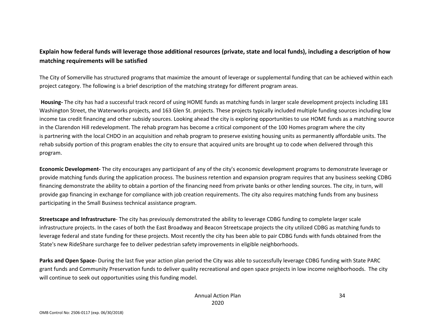#### **Explain how federal funds will leverage those additional resources (private, state and local funds), including a description of how matching requirements will be satisfied**

The City of Somerville has structured programs that maximize the amount of leverage or supplemental funding that can be achieved within each project category. The following is a brief description of the matching strategy for different program areas.

**Housing‐** The city has had a successful track record of using HOME funds as matching funds in larger scale development projects including 181 Washington Street, the Waterworks projects, and 163 Glen St. projects. These projects typically included multiple funding sources including low income tax credit financing and other subsidy sources. Looking ahead the city is exploring opportunities to use HOME funds as a matching source in the Clarendon Hill redevelopment. The rehab program has become a critical component of the 100 Homes program where the city is partnering with the local CHDO in an acquisition and rehab program to preserve existing housing units as permanently affordable units. The rehab subsidy portion of this program enables the city to ensure that acquired units are brought up to code when delivered through this program.

**Economic Development‐** The city encourages any participant of any of the city's economic development programs to demonstrate leverage or provide matching funds during the application process. The business retention and expansion program requires that any business seeking CDBG financing demonstrate the ability to obtain a portion of the financing need from private banks or other lending sources. The city, in turn, will provide gap financing in exchange for compliance with job creation requirements. The city also requires matching funds from any business participating in the Small Business technical assistance program.

**Streetscape and Infrastructure**‐ The city has previously demonstrated the ability to leverage CDBG funding to complete larger scale infrastructure projects. In the cases of both the East Broadway and Beacon Streetscape projects the city utilized CDBG as matching funds to leverage federal and state funding for these projects. Most recently the city has been able to pair CDBG funds with funds obtained from the State's new RideShare surcharge fee to deliver pedestrian safety improvements in eligible neighborhoods.

**Parks and Open Space‐** During the last five year action plan period the City was able to successfully leverage CDBG funding with State PARC grant funds and Community Preservation funds to deliver quality recreational and open space projects in low income neighborhoods. The city will continue to seek out opportunities using this funding model.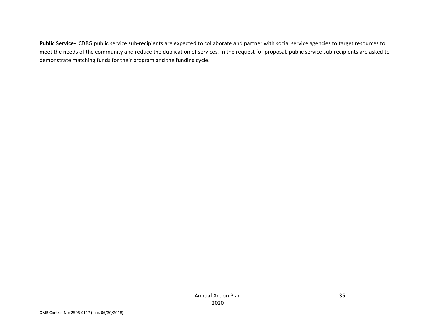Public Service- CDBG public service sub-recipients are expected to collaborate and partner with social service agencies to target resources to meet the needs of the community and reduce the duplication of services. In the request for proposal, public service sub-recipients are asked to demonstrate matching funds for their program and the funding cycle.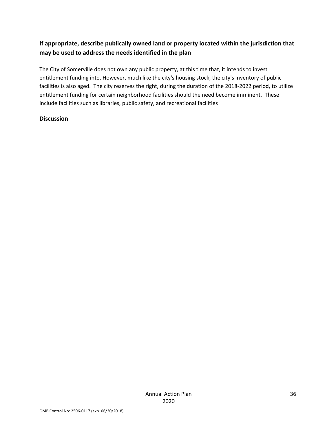## **If appropriate, describe publically owned land or property located within the jurisdiction that may be used to address the needs identified in the plan**

The City of Somerville does not own any public property, at this time that, it intends to invest entitlement funding into. However, much like the city's housing stock, the city's inventory of public facilities is also aged. The city reserves the right, during the duration of the 2018‐2022 period, to utilize entitlement funding for certain neighborhood facilities should the need become imminent. These include facilities such as libraries, public safety, and recreational facilities

### **Discussion**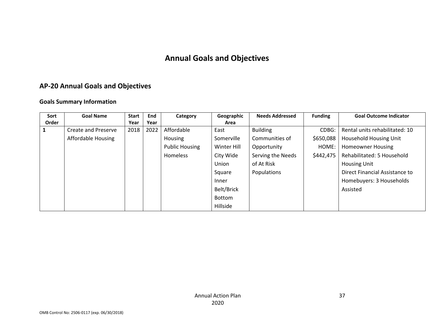## **Annual Goals and Objectives**

## **AP‐20 Annual Goals and Objectives**

### **Goals Summary Information**

| Sort  | <b>Goal Name</b>    | <b>Start</b> | <b>End</b> | Category              | Geographic  | <b>Needs Addressed</b> | <b>Funding</b> | <b>Goal Outcome Indicator</b>  |
|-------|---------------------|--------------|------------|-----------------------|-------------|------------------------|----------------|--------------------------------|
| Order |                     | Year         | Year       |                       | Area        |                        |                |                                |
|       | Create and Preserve | 2018         | 2022       | Affordable            | East        | <b>Building</b>        | CDBG:          | Rental units rehabilitated: 10 |
|       | Affordable Housing  |              |            | <b>Housing</b>        | Somerville  | Communities of         | \$650,088      | <b>Household Housing Unit</b>  |
|       |                     |              |            | <b>Public Housing</b> | Winter Hill | Opportunity            | HOME:          | <b>Homeowner Housing</b>       |
|       |                     |              |            | Homeless              | City Wide   | Serving the Needs      | \$442,475      | Rehabilitated: 5 Household     |
|       |                     |              |            |                       | Union       | of At Risk             |                | <b>Housing Unit</b>            |
|       |                     |              |            |                       | Square      | Populations            |                | Direct Financial Assistance to |
|       |                     |              |            |                       | Inner       |                        |                | Homebuyers: 3 Households       |
|       |                     |              |            |                       | Belt/Brick  |                        |                | Assisted                       |
|       |                     |              |            |                       | Bottom      |                        |                |                                |
|       |                     |              |            |                       | Hillside    |                        |                |                                |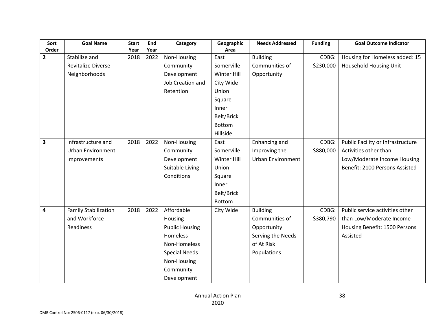| Sort                    | <b>Goal Name</b>            | <b>Start</b> | End  | Category              | Geographic         | <b>Needs Addressed</b>   | <b>Funding</b> | <b>Goal Outcome Indicator</b>     |
|-------------------------|-----------------------------|--------------|------|-----------------------|--------------------|--------------------------|----------------|-----------------------------------|
| Order                   |                             | Year         | Year |                       | Area               |                          |                |                                   |
| $\overline{2}$          | Stabilize and               | 2018         | 2022 | Non-Housing           | East               | <b>Building</b>          | CDBG:          | Housing for Homeless added: 15    |
|                         | <b>Revitalize Diverse</b>   |              |      | Community             | Somerville         | Communities of           | \$230,000      | Household Housing Unit            |
|                         | Neighborhoods               |              |      | Development           | Winter Hill        | Opportunity              |                |                                   |
|                         |                             |              |      | Job Creation and      | City Wide          |                          |                |                                   |
|                         |                             |              |      | Retention             | Union              |                          |                |                                   |
|                         |                             |              |      |                       | Square             |                          |                |                                   |
|                         |                             |              |      |                       | Inner              |                          |                |                                   |
|                         |                             |              |      |                       | Belt/Brick         |                          |                |                                   |
|                         |                             |              |      |                       | <b>Bottom</b>      |                          |                |                                   |
|                         |                             |              |      |                       | Hillside           |                          |                |                                   |
| $\overline{\mathbf{3}}$ | Infrastructure and          | 2018         | 2022 | Non-Housing           | East               | Enhancing and            | CDBG:          | Public Facility or Infrastructure |
|                         | <b>Urban Environment</b>    |              |      | Community             | Somerville         | Improving the            | \$880,000      | Activities other than             |
|                         | Improvements                |              |      | Development           | <b>Winter Hill</b> | <b>Urban Environment</b> |                | Low/Moderate Income Housing       |
|                         |                             |              |      | Suitable Living       | Union              |                          |                | Benefit: 2100 Persons Assisted    |
|                         |                             |              |      | Conditions            | Square             |                          |                |                                   |
|                         |                             |              |      |                       | Inner              |                          |                |                                   |
|                         |                             |              |      |                       | Belt/Brick         |                          |                |                                   |
|                         |                             |              |      |                       | Bottom             |                          |                |                                   |
| 4                       | <b>Family Stabilization</b> | 2018         | 2022 | Affordable            | City Wide          | <b>Building</b>          | CDBG:          | Public service activities other   |
|                         | and Workforce               |              |      | Housing               |                    | Communities of           | \$380,790      | than Low/Moderate Income          |
|                         | Readiness                   |              |      | <b>Public Housing</b> |                    | Opportunity              |                | Housing Benefit: 1500 Persons     |
|                         |                             |              |      | <b>Homeless</b>       |                    | Serving the Needs        |                | Assisted                          |
|                         |                             |              |      | Non-Homeless          |                    | of At Risk               |                |                                   |
|                         |                             |              |      | <b>Special Needs</b>  |                    | Populations              |                |                                   |
|                         |                             |              |      | Non-Housing           |                    |                          |                |                                   |
|                         |                             |              |      | Community             |                    |                          |                |                                   |
|                         |                             |              |      | Development           |                    |                          |                |                                   |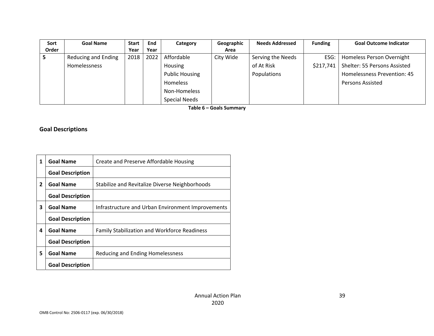| Sort  | <b>Goal Name</b>    | <b>Start</b> | End  | Category              | Geographic | <b>Needs Addressed</b> | <b>Funding</b> | <b>Goal Outcome Indicator</b> |
|-------|---------------------|--------------|------|-----------------------|------------|------------------------|----------------|-------------------------------|
| Order |                     | Year         | Year |                       | Area       |                        |                |                               |
|       | Reducing and Ending | 2018         | 2022 | Affordable            | City Wide  | Serving the Needs      | ESG:           | Homeless Person Overnight     |
|       | Homelessness        |              |      | Housing               |            | of At Risk             | \$217,741      | Shelter: 55 Persons Assisted  |
|       |                     |              |      | <b>Public Housing</b> |            | Populations            |                | Homelessness Prevention: 45   |
|       |                     |              |      | Homeless              |            |                        |                | <b>Persons Assisted</b>       |
|       |                     |              |      | Non-Homeless          |            |                        |                |                               |
|       |                     |              |      | <b>Special Needs</b>  |            |                        |                |                               |

**Table 6 – Goals Summary** 

## **Goal Descriptions**

| 1              | <b>Goal Name</b>        | Create and Preserve Affordable Housing              |
|----------------|-------------------------|-----------------------------------------------------|
|                | <b>Goal Description</b> |                                                     |
| $\overline{2}$ | <b>Goal Name</b>        | Stabilize and Revitalize Diverse Neighborhoods      |
|                | <b>Goal Description</b> |                                                     |
| 3              | <b>Goal Name</b>        | Infrastructure and Urban Environment Improvements   |
|                | <b>Goal Description</b> |                                                     |
| 4              | <b>Goal Name</b>        | <b>Family Stabilization and Workforce Readiness</b> |
|                | <b>Goal Description</b> |                                                     |
| 5              | <b>Goal Name</b>        | Reducing and Ending Homelessness                    |
|                | <b>Goal Description</b> |                                                     |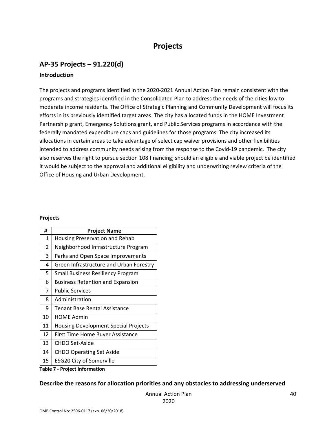## **Projects**

## **AP‐35 Projects – 91.220(d)**

#### **Introduction**

The projects and programs identified in the 2020‐2021 Annual Action Plan remain consistent with the programs and strategies identified in the Consolidated Plan to address the needs of the cities low to moderate income residents. The Office of Strategic Planning and Community Development will focus its efforts in its previously identified target areas. The city has allocated funds in the HOME Investment Partnership grant, Emergency Solutions grant, and Public Services programs in accordance with the federally mandated expenditure caps and guidelines for those programs. The city increased its allocations in certain areas to take advantage of select cap waiver provisions and other flexibilities intended to address community needs arising from the response to the Covid‐19 pandemic. The city also reserves the right to pursue section 108 financing; should an eligible and viable project be identified it would be subject to the approval and additional eligibility and underwriting review criteria of the Office of Housing and Urban Development.

#### **Projects**

| #              | <b>Project Name</b>                         |
|----------------|---------------------------------------------|
| 1              | <b>Housing Preservation and Rehab</b>       |
| $\overline{2}$ | Neighborhood Infrastructure Program         |
| 3              | Parks and Open Space Improvements           |
| 4              | Green Infrastructure and Urban Forestry     |
| 5              | <b>Small Business Resiliency Program</b>    |
| 6              | <b>Business Retention and Expansion</b>     |
| $\overline{7}$ | <b>Public Services</b>                      |
| 8              | Administration                              |
| 9              | <b>Tenant Base Rental Assistance</b>        |
| 10             | HOME Admin                                  |
| 11             | <b>Housing Development Special Projects</b> |
| 12             | First Time Home Buyer Assistance            |
| 13             | <b>CHDO Set-Aside</b>                       |
| 14             | <b>CHDO Operating Set Aside</b>             |
| 15             | <b>ESG20 City of Somerville</b>             |

#### **Table 7 ‐ Project Information**

#### **Describe the reasons for allocation priorities and any obstacles to addressing underserved**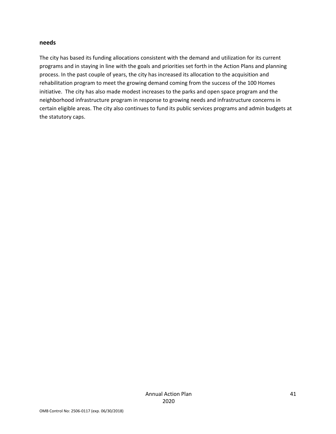#### **needs**

The city has based its funding allocations consistent with the demand and utilization for its current programs and in staying in line with the goals and priorities set forth in the Action Plans and planning process. In the past couple of years, the city has increased its allocation to the acquisition and rehabilitation program to meet the growing demand coming from the success of the 100 Homes initiative. The city has also made modest increases to the parks and open space program and the neighborhood infrastructure program in response to growing needs and infrastructure concerns in certain eligible areas. The city also continues to fund its public services programs and admin budgets at the statutory caps.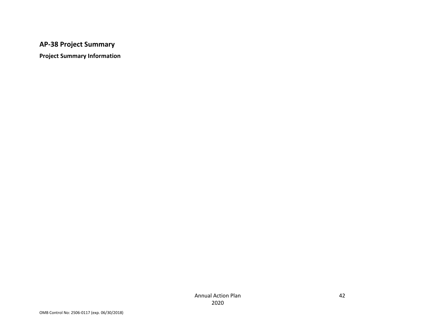## **AP‐38 Project Summary**

**Project Summary Information**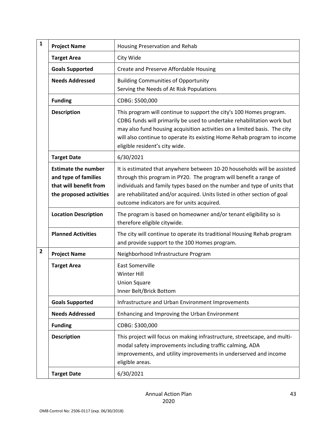| $\mathbf{1}$   | <b>Project Name</b>                                                                                     | Housing Preservation and Rehab                                                                                                                                                                                                                                                                                                                    |
|----------------|---------------------------------------------------------------------------------------------------------|---------------------------------------------------------------------------------------------------------------------------------------------------------------------------------------------------------------------------------------------------------------------------------------------------------------------------------------------------|
|                | <b>Target Area</b>                                                                                      | City Wide                                                                                                                                                                                                                                                                                                                                         |
|                | <b>Goals Supported</b>                                                                                  | Create and Preserve Affordable Housing                                                                                                                                                                                                                                                                                                            |
|                | <b>Needs Addressed</b>                                                                                  | <b>Building Communities of Opportunity</b><br>Serving the Needs of At Risk Populations                                                                                                                                                                                                                                                            |
|                | <b>Funding</b>                                                                                          | CDBG: \$500,000                                                                                                                                                                                                                                                                                                                                   |
|                | <b>Description</b>                                                                                      | This program will continue to support the city's 100 Homes program.<br>CDBG funds will primarily be used to undertake rehabilitation work but<br>may also fund housing acquisition activities on a limited basis. The city<br>will also continue to operate its existing Home Rehab program to income<br>eligible resident's city wide.           |
|                | <b>Target Date</b>                                                                                      | 6/30/2021                                                                                                                                                                                                                                                                                                                                         |
|                | <b>Estimate the number</b><br>and type of families<br>that will benefit from<br>the proposed activities | It is estimated that anywhere between 10-20 households will be assisted<br>through this program in PY20. The program will benefit a range of<br>individuals and family types based on the number and type of units that<br>are rehabilitated and/or acquired. Units listed in other section of goal<br>outcome indicators are for units acquired. |
|                | <b>Location Description</b>                                                                             | The program is based on homeowner and/or tenant eligibility so is<br>therefore eligible citywide.                                                                                                                                                                                                                                                 |
|                | <b>Planned Activities</b>                                                                               | The city will continue to operate its traditional Housing Rehab program<br>and provide support to the 100 Homes program.                                                                                                                                                                                                                          |
|                |                                                                                                         |                                                                                                                                                                                                                                                                                                                                                   |
| $\overline{2}$ | <b>Project Name</b>                                                                                     | Neighborhood Infrastructure Program                                                                                                                                                                                                                                                                                                               |
|                | <b>Target Area</b>                                                                                      | <b>East Somerville</b><br>Winter Hill<br><b>Union Square</b><br>Inner Belt/Brick Bottom                                                                                                                                                                                                                                                           |
|                | <b>Goals Supported</b>                                                                                  | Infrastructure and Urban Environment Improvements                                                                                                                                                                                                                                                                                                 |
|                | <b>Needs Addressed</b>                                                                                  | Enhancing and Improving the Urban Environment                                                                                                                                                                                                                                                                                                     |
|                | <b>Funding</b>                                                                                          | CDBG: \$300,000                                                                                                                                                                                                                                                                                                                                   |
|                | <b>Description</b>                                                                                      | This project will focus on making infrastructure, streetscape, and multi-<br>modal safety improvements including traffic calming, ADA<br>improvements, and utility improvements in underserved and income<br>eligible areas.                                                                                                                      |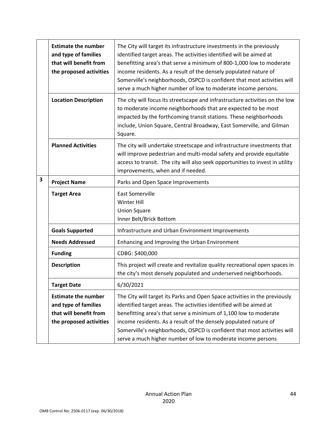|   | <b>Estimate the number</b><br>and type of families<br>that will benefit from<br>the proposed activities | The City will target its infrastructure investments in the previously<br>identified target areas. The activities identified will be aimed at<br>benefitting area's that serve a minimum of 800-1,000 low to moderate<br>income residents. As a result of the densely populated nature of<br>Somerville's neighborhoods, OSPCD is confident that most activities will<br>serve a much higher number of low to moderate income persons. |
|---|---------------------------------------------------------------------------------------------------------|---------------------------------------------------------------------------------------------------------------------------------------------------------------------------------------------------------------------------------------------------------------------------------------------------------------------------------------------------------------------------------------------------------------------------------------|
|   | <b>Location Description</b>                                                                             | The city will focus its streetscape and infrastructure activities on the low<br>to moderate income neighborhoods that are expected to be most<br>impacted by the forthcoming transit stations. These neighborhoods<br>include, Union Square, Central Broadway, East Somerville, and Gilman<br>Square.                                                                                                                                 |
|   | <b>Planned Activities</b>                                                                               | The city will undertake streetscape and infrastructure investments that<br>will improve pedestrian and multi-modal safety and provide equitable<br>access to transit. The city will also seek opportunities to invest in utility<br>improvements, when and if needed.                                                                                                                                                                 |
| 3 | <b>Project Name</b>                                                                                     | Parks and Open Space Improvements                                                                                                                                                                                                                                                                                                                                                                                                     |
|   | <b>Target Area</b>                                                                                      | <b>East Somerville</b><br>Winter Hill<br><b>Union Square</b><br>Inner Belt/Brick Bottom                                                                                                                                                                                                                                                                                                                                               |
|   | <b>Goals Supported</b>                                                                                  | Infrastructure and Urban Environment Improvements                                                                                                                                                                                                                                                                                                                                                                                     |
|   | <b>Needs Addressed</b>                                                                                  | Enhancing and Improving the Urban Environment                                                                                                                                                                                                                                                                                                                                                                                         |
|   | <b>Funding</b>                                                                                          | CDBG: \$400,000                                                                                                                                                                                                                                                                                                                                                                                                                       |
|   | <b>Description</b>                                                                                      | This project will create and revitalize quality recreational open spaces in<br>the city's most densely populated and underserved neighborhoods.                                                                                                                                                                                                                                                                                       |
|   | <b>Target Date</b>                                                                                      | 6/30/2021                                                                                                                                                                                                                                                                                                                                                                                                                             |
|   | <b>Estimate the number</b><br>and type of families<br>that will benefit from<br>the proposed activities | The City will target its Parks and Open Space activities in the previously<br>identified target areas. The activities identified will be aimed at<br>benefitting area's that serve a minimum of 1,100 low to moderate<br>income residents. As a result of the densely populated nature of<br>Somerville's neighborhoods, OSPCD is confident that most activities will<br>serve a much higher number of low to moderate income persons |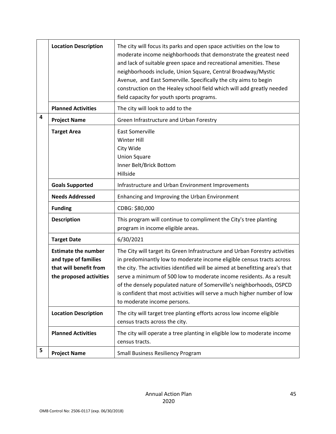|   | <b>Location Description</b>                                                                             | The city will focus its parks and open space activities on the low to<br>moderate income neighborhoods that demonstrate the greatest need<br>and lack of suitable green space and recreational amenities. These<br>neighborhoods include, Union Square, Central Broadway/Mystic<br>Avenue, and East Somerville. Specifically the city aims to begin<br>construction on the Healey school field which will add greatly needed<br>field capacity for youth sports programs.                       |
|---|---------------------------------------------------------------------------------------------------------|-------------------------------------------------------------------------------------------------------------------------------------------------------------------------------------------------------------------------------------------------------------------------------------------------------------------------------------------------------------------------------------------------------------------------------------------------------------------------------------------------|
|   | <b>Planned Activities</b>                                                                               | The city will look to add to the                                                                                                                                                                                                                                                                                                                                                                                                                                                                |
| 4 | <b>Project Name</b>                                                                                     | Green Infrastructure and Urban Forestry                                                                                                                                                                                                                                                                                                                                                                                                                                                         |
|   | <b>Target Area</b>                                                                                      | <b>East Somerville</b><br>Winter Hill<br>City Wide<br><b>Union Square</b><br>Inner Belt/Brick Bottom<br>Hillside                                                                                                                                                                                                                                                                                                                                                                                |
|   | <b>Goals Supported</b>                                                                                  | Infrastructure and Urban Environment Improvements                                                                                                                                                                                                                                                                                                                                                                                                                                               |
|   | <b>Needs Addressed</b>                                                                                  | Enhancing and Improving the Urban Environment                                                                                                                                                                                                                                                                                                                                                                                                                                                   |
|   | <b>Funding</b>                                                                                          | CDBG: \$80,000                                                                                                                                                                                                                                                                                                                                                                                                                                                                                  |
|   | <b>Description</b>                                                                                      | This program will continue to compliment the City's tree planting<br>program in income eligible areas.                                                                                                                                                                                                                                                                                                                                                                                          |
|   | <b>Target Date</b>                                                                                      | 6/30/2021                                                                                                                                                                                                                                                                                                                                                                                                                                                                                       |
|   | <b>Estimate the number</b><br>and type of families<br>that will benefit from<br>the proposed activities | The City will target its Green Infrastructure and Urban Forestry activities<br>in predominantly low to moderate income eligible census tracts across<br>the city. The activities identified will be aimed at benefitting area's that<br>serve a minimum of 500 low to moderate income residents. As a result<br>of the densely populated nature of Somerville's neighborhoods, OSPCD<br>is confident that most activities will serve a much higher number of low<br>to moderate income persons. |
|   | <b>Location Description</b>                                                                             | The city will target tree planting efforts across low income eligible<br>census tracts across the city.                                                                                                                                                                                                                                                                                                                                                                                         |
|   | <b>Planned Activities</b>                                                                               | The city will operate a tree planting in eligible low to moderate income<br>census tracts.                                                                                                                                                                                                                                                                                                                                                                                                      |
| 5 | <b>Project Name</b>                                                                                     | <b>Small Business Resiliency Program</b>                                                                                                                                                                                                                                                                                                                                                                                                                                                        |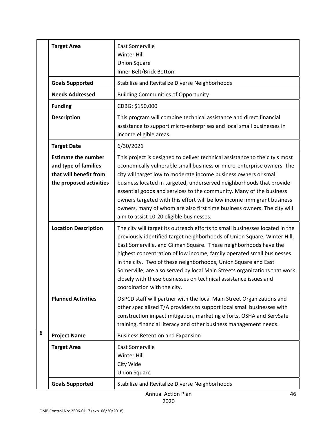|   | <b>Target Area</b>                                                                                      | <b>East Somerville</b><br><b>Winter Hill</b><br><b>Union Square</b><br>Inner Belt/Brick Bottom                                                                                                                                                                                                                                                                                                                                                                                                                                                                            |
|---|---------------------------------------------------------------------------------------------------------|---------------------------------------------------------------------------------------------------------------------------------------------------------------------------------------------------------------------------------------------------------------------------------------------------------------------------------------------------------------------------------------------------------------------------------------------------------------------------------------------------------------------------------------------------------------------------|
|   | <b>Goals Supported</b>                                                                                  | Stabilize and Revitalize Diverse Neighborhoods                                                                                                                                                                                                                                                                                                                                                                                                                                                                                                                            |
|   | <b>Needs Addressed</b>                                                                                  | <b>Building Communities of Opportunity</b>                                                                                                                                                                                                                                                                                                                                                                                                                                                                                                                                |
|   | <b>Funding</b>                                                                                          | CDBG: \$150,000                                                                                                                                                                                                                                                                                                                                                                                                                                                                                                                                                           |
|   | <b>Description</b>                                                                                      | This program will combine technical assistance and direct financial<br>assistance to support micro-enterprises and local small businesses in<br>income eligible areas.                                                                                                                                                                                                                                                                                                                                                                                                    |
|   | <b>Target Date</b>                                                                                      | 6/30/2021                                                                                                                                                                                                                                                                                                                                                                                                                                                                                                                                                                 |
|   | <b>Estimate the number</b><br>and type of families<br>that will benefit from<br>the proposed activities | This project is designed to deliver technical assistance to the city's most<br>economically vulnerable small business or micro-enterprise owners. The<br>city will target low to moderate income business owners or small<br>business located in targeted, underserved neighborhoods that provide<br>essential goods and services to the community. Many of the business<br>owners targeted with this effort will be low income immigrant business<br>owners, many of whom are also first time business owners. The city will<br>aim to assist 10-20 eligible businesses. |
|   | <b>Location Description</b>                                                                             | The city will target its outreach efforts to small businesses located in the<br>previously identified target neighborhoods of Union Square, Winter Hill,<br>East Somerville, and Gilman Square. These neighborhoods have the<br>highest concentration of low income, family operated small businesses<br>in the city. Two of these neighborhoods, Union Square and East<br>Somerville, are also served by local Main Streets organizations that work<br>closely with these businesses on technical assistance issues and<br>coordination with the city.                   |
|   | <b>Planned Activities</b>                                                                               | OSPCD staff will partner with the local Main Street Organizations and<br>other specialized T/A providers to support local small businesses with<br>construction impact mitigation, marketing efforts, OSHA and ServSafe<br>training, financial literacy and other business management needs.                                                                                                                                                                                                                                                                              |
| 6 | <b>Project Name</b>                                                                                     | <b>Business Retention and Expansion</b>                                                                                                                                                                                                                                                                                                                                                                                                                                                                                                                                   |
|   | <b>Target Area</b>                                                                                      | <b>East Somerville</b><br><b>Winter Hill</b><br>City Wide<br><b>Union Square</b>                                                                                                                                                                                                                                                                                                                                                                                                                                                                                          |
|   | <b>Goals Supported</b>                                                                                  | Stabilize and Revitalize Diverse Neighborhoods                                                                                                                                                                                                                                                                                                                                                                                                                                                                                                                            |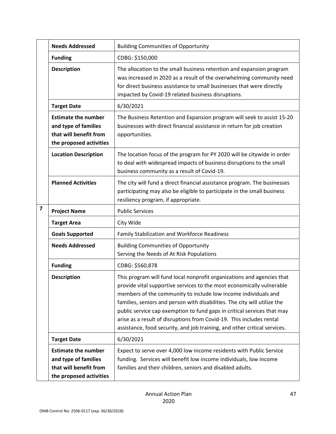|                         | <b>Needs Addressed</b>                                                                                  | <b>Building Communities of Opportunity</b>                                                                                                                                                                                                                                                                                                                                                                                                                                                                                     |
|-------------------------|---------------------------------------------------------------------------------------------------------|--------------------------------------------------------------------------------------------------------------------------------------------------------------------------------------------------------------------------------------------------------------------------------------------------------------------------------------------------------------------------------------------------------------------------------------------------------------------------------------------------------------------------------|
|                         | <b>Funding</b>                                                                                          | CDBG: \$150,000                                                                                                                                                                                                                                                                                                                                                                                                                                                                                                                |
|                         | <b>Description</b>                                                                                      | The allocation to the small business retention and expansion program<br>was increased in 2020 as a result of the overwhelming community need<br>for direct business assistance to small businesses that were directly<br>impacted by Covid-19 related business disruptions.                                                                                                                                                                                                                                                    |
|                         | <b>Target Date</b>                                                                                      | 6/30/2021                                                                                                                                                                                                                                                                                                                                                                                                                                                                                                                      |
|                         | <b>Estimate the number</b><br>and type of families<br>that will benefit from<br>the proposed activities | The Business Retention and Expansion program will seek to assist 15-20<br>businesses with direct financial assistance in return for job creation<br>opportunities.                                                                                                                                                                                                                                                                                                                                                             |
|                         | <b>Location Description</b>                                                                             | The location focus of the program for PY 2020 will be citywide in order<br>to deal with widespread impacts of business disruptions to the small<br>business community as a result of Covid-19.                                                                                                                                                                                                                                                                                                                                 |
|                         | <b>Planned Activities</b>                                                                               | The city will fund a direct financial assistance program. The businesses<br>participating may also be eligible to participate in the small business<br>resiliency program, if appropriate.                                                                                                                                                                                                                                                                                                                                     |
| $\overline{\mathbf{z}}$ | <b>Project Name</b>                                                                                     | <b>Public Services</b>                                                                                                                                                                                                                                                                                                                                                                                                                                                                                                         |
|                         | <b>Target Area</b>                                                                                      | City Wide                                                                                                                                                                                                                                                                                                                                                                                                                                                                                                                      |
|                         | <b>Goals Supported</b>                                                                                  | Family Stabilization and Workforce Readiness                                                                                                                                                                                                                                                                                                                                                                                                                                                                                   |
|                         | <b>Needs Addressed</b>                                                                                  | <b>Building Communities of Opportunity</b><br>Serving the Needs of At Risk Populations                                                                                                                                                                                                                                                                                                                                                                                                                                         |
|                         | <b>Funding</b>                                                                                          | CDBG: \$560,878                                                                                                                                                                                                                                                                                                                                                                                                                                                                                                                |
|                         | <b>Description</b>                                                                                      | This program will fund local nonprofit organizations and agencies that<br>provide vital supportive services to the most economically vulnerable<br>members of the community to include low income individuals and<br>families, seniors and person with disabilities. The city will utilize the<br>public service cap exemption to fund gaps in critical services that may<br>arise as a result of disruptions from Covid-19. This includes rental<br>assistance, food security, and job training, and other critical services. |
|                         | <b>Target Date</b>                                                                                      | 6/30/2021                                                                                                                                                                                                                                                                                                                                                                                                                                                                                                                      |
|                         | <b>Estimate the number</b><br>and type of families<br>that will benefit from<br>the proposed activities | Expect to serve over 4,000 low income residents with Public Service<br>funding. Services will benefit low income individuals, low income<br>families and their children, seniors and disabled adults.                                                                                                                                                                                                                                                                                                                          |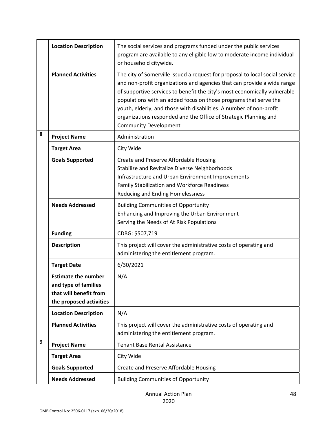|   | <b>Location Description</b>                                                                             | The social services and programs funded under the public services<br>program are available to any eligible low to moderate income individual<br>or household citywide.                                                                                                                                                                                                                                                                                                              |
|---|---------------------------------------------------------------------------------------------------------|-------------------------------------------------------------------------------------------------------------------------------------------------------------------------------------------------------------------------------------------------------------------------------------------------------------------------------------------------------------------------------------------------------------------------------------------------------------------------------------|
|   | <b>Planned Activities</b>                                                                               | The city of Somerville issued a request for proposal to local social service<br>and non-profit organizations and agencies that can provide a wide range<br>of supportive services to benefit the city's most economically vulnerable<br>populations with an added focus on those programs that serve the<br>youth, elderly, and those with disabilities. A number of non-profit<br>organizations responded and the Office of Strategic Planning and<br><b>Community Development</b> |
| 8 | <b>Project Name</b>                                                                                     | Administration                                                                                                                                                                                                                                                                                                                                                                                                                                                                      |
|   | <b>Target Area</b>                                                                                      | City Wide                                                                                                                                                                                                                                                                                                                                                                                                                                                                           |
|   | <b>Goals Supported</b>                                                                                  | Create and Preserve Affordable Housing<br>Stabilize and Revitalize Diverse Neighborhoods<br>Infrastructure and Urban Environment Improvements<br>Family Stabilization and Workforce Readiness<br>Reducing and Ending Homelessness                                                                                                                                                                                                                                                   |
|   | <b>Needs Addressed</b>                                                                                  | <b>Building Communities of Opportunity</b><br>Enhancing and Improving the Urban Environment<br>Serving the Needs of At Risk Populations                                                                                                                                                                                                                                                                                                                                             |
|   | <b>Funding</b>                                                                                          | CDBG: \$507,719                                                                                                                                                                                                                                                                                                                                                                                                                                                                     |
|   | <b>Description</b>                                                                                      | This project will cover the administrative costs of operating and<br>administering the entitlement program.                                                                                                                                                                                                                                                                                                                                                                         |
|   | <b>Target Date</b>                                                                                      | 6/30/2021                                                                                                                                                                                                                                                                                                                                                                                                                                                                           |
|   | <b>Estimate the number</b><br>and type of families<br>that will benefit from<br>the proposed activities | N/A                                                                                                                                                                                                                                                                                                                                                                                                                                                                                 |
|   | <b>Location Description</b>                                                                             | N/A                                                                                                                                                                                                                                                                                                                                                                                                                                                                                 |
|   | <b>Planned Activities</b>                                                                               | This project will cover the administrative costs of operating and<br>administering the entitlement program.                                                                                                                                                                                                                                                                                                                                                                         |
| 9 | <b>Project Name</b>                                                                                     | <b>Tenant Base Rental Assistance</b>                                                                                                                                                                                                                                                                                                                                                                                                                                                |
|   | <b>Target Area</b>                                                                                      | City Wide                                                                                                                                                                                                                                                                                                                                                                                                                                                                           |
|   | <b>Goals Supported</b>                                                                                  | Create and Preserve Affordable Housing                                                                                                                                                                                                                                                                                                                                                                                                                                              |
|   | <b>Needs Addressed</b>                                                                                  | <b>Building Communities of Opportunity</b>                                                                                                                                                                                                                                                                                                                                                                                                                                          |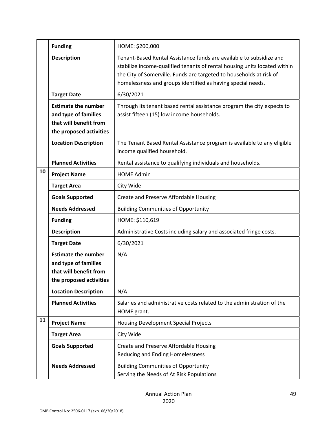|    | <b>Funding</b>                                                                                          | HOME: \$200,000                                                                                                                                                                                                                                                                        |
|----|---------------------------------------------------------------------------------------------------------|----------------------------------------------------------------------------------------------------------------------------------------------------------------------------------------------------------------------------------------------------------------------------------------|
|    | <b>Description</b>                                                                                      | Tenant-Based Rental Assistance funds are available to subsidize and<br>stabilize income-qualified tenants of rental housing units located within<br>the City of Somerville. Funds are targeted to households at risk of<br>homelessness and groups identified as having special needs. |
|    | <b>Target Date</b>                                                                                      | 6/30/2021                                                                                                                                                                                                                                                                              |
|    | <b>Estimate the number</b><br>and type of families<br>that will benefit from<br>the proposed activities | Through its tenant based rental assistance program the city expects to<br>assist fifteen (15) low income households.                                                                                                                                                                   |
|    | <b>Location Description</b>                                                                             | The Tenant Based Rental Assistance program is available to any eligible<br>income qualified household.                                                                                                                                                                                 |
|    | <b>Planned Activities</b>                                                                               | Rental assistance to qualifying individuals and households.                                                                                                                                                                                                                            |
| 10 | <b>Project Name</b>                                                                                     | <b>HOME Admin</b>                                                                                                                                                                                                                                                                      |
|    | <b>Target Area</b>                                                                                      | City Wide                                                                                                                                                                                                                                                                              |
|    | <b>Goals Supported</b>                                                                                  | Create and Preserve Affordable Housing                                                                                                                                                                                                                                                 |
|    | <b>Needs Addressed</b>                                                                                  | <b>Building Communities of Opportunity</b>                                                                                                                                                                                                                                             |
|    | <b>Funding</b>                                                                                          | HOME: \$110,619                                                                                                                                                                                                                                                                        |
|    | <b>Description</b>                                                                                      | Administrative Costs including salary and associated fringe costs.                                                                                                                                                                                                                     |
|    | <b>Target Date</b>                                                                                      | 6/30/2021                                                                                                                                                                                                                                                                              |
|    | <b>Estimate the number</b><br>and type of families<br>that will benefit from<br>the proposed activities | N/A                                                                                                                                                                                                                                                                                    |
|    | <b>Location Description</b>                                                                             | N/A                                                                                                                                                                                                                                                                                    |
|    | <b>Planned Activities</b>                                                                               | Salaries and administrative costs related to the administration of the<br>HOME grant.                                                                                                                                                                                                  |
| 11 | <b>Project Name</b>                                                                                     | <b>Housing Development Special Projects</b>                                                                                                                                                                                                                                            |
|    | <b>Target Area</b>                                                                                      | City Wide                                                                                                                                                                                                                                                                              |
|    | <b>Goals Supported</b>                                                                                  | Create and Preserve Affordable Housing<br>Reducing and Ending Homelessness                                                                                                                                                                                                             |
|    | <b>Needs Addressed</b>                                                                                  | <b>Building Communities of Opportunity</b><br>Serving the Needs of At Risk Populations                                                                                                                                                                                                 |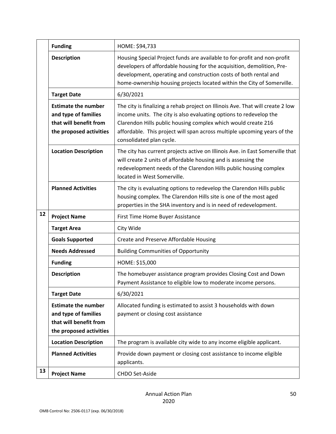|    | <b>Funding</b>                                                                                          | HOME: \$94,733                                                                                                                                                                                                                                                                                                                |
|----|---------------------------------------------------------------------------------------------------------|-------------------------------------------------------------------------------------------------------------------------------------------------------------------------------------------------------------------------------------------------------------------------------------------------------------------------------|
|    | <b>Description</b>                                                                                      | Housing Special Project funds are available to for-profit and non-profit<br>developers of affordable housing for the acquisition, demolition, Pre-<br>development, operating and construction costs of both rental and<br>home-ownership housing projects located within the City of Somerville.                              |
|    | <b>Target Date</b>                                                                                      | 6/30/2021                                                                                                                                                                                                                                                                                                                     |
|    | <b>Estimate the number</b><br>and type of families<br>that will benefit from<br>the proposed activities | The city is finalizing a rehab project on Illinois Ave. That will create 2 low<br>income units. The city is also evaluating options to redevelop the<br>Clarendon Hills public housing complex which would create 216<br>affordable. This project will span across multiple upcoming years of the<br>consolidated plan cycle. |
|    | <b>Location Description</b>                                                                             | The city has current projects active on Illinois Ave. in East Somerville that<br>will create 2 units of affordable housing and is assessing the<br>redevelopment needs of the Clarendon Hills public housing complex<br>located in West Somerville.                                                                           |
|    | <b>Planned Activities</b>                                                                               | The city is evaluating options to redevelop the Clarendon Hills public<br>housing complex. The Clarendon Hills site is one of the most aged<br>properties in the SHA inventory and is in need of redevelopment.                                                                                                               |
| 12 | <b>Project Name</b>                                                                                     | First Time Home Buyer Assistance                                                                                                                                                                                                                                                                                              |
|    | <b>Target Area</b>                                                                                      | City Wide                                                                                                                                                                                                                                                                                                                     |
|    | <b>Goals Supported</b>                                                                                  | Create and Preserve Affordable Housing                                                                                                                                                                                                                                                                                        |
|    | <b>Needs Addressed</b>                                                                                  | <b>Building Communities of Opportunity</b>                                                                                                                                                                                                                                                                                    |
|    | <b>Funding</b>                                                                                          | HOME: \$15,000                                                                                                                                                                                                                                                                                                                |
|    | <b>Description</b>                                                                                      | The homebuyer assistance program provides Closing Cost and Down<br>Payment Assistance to eligible low to moderate income persons.                                                                                                                                                                                             |
|    | <b>Target Date</b>                                                                                      | 6/30/2021                                                                                                                                                                                                                                                                                                                     |
|    | <b>Estimate the number</b><br>and type of families<br>that will benefit from<br>the proposed activities | Allocated funding is estimated to assist 3 households with down<br>payment or closing cost assistance                                                                                                                                                                                                                         |
|    | <b>Location Description</b>                                                                             | The program is available city wide to any income eligible applicant.                                                                                                                                                                                                                                                          |
|    | <b>Planned Activities</b>                                                                               | Provide down payment or closing cost assistance to income eligible<br>applicants.                                                                                                                                                                                                                                             |
| 13 | <b>Project Name</b>                                                                                     | CHDO Set-Aside                                                                                                                                                                                                                                                                                                                |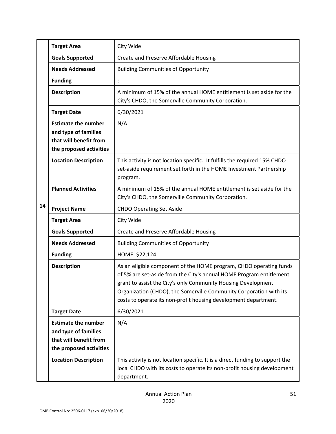|    | <b>Target Area</b>                                                                                      | City Wide                                                                                                                                                                                                                                                                                                                                           |
|----|---------------------------------------------------------------------------------------------------------|-----------------------------------------------------------------------------------------------------------------------------------------------------------------------------------------------------------------------------------------------------------------------------------------------------------------------------------------------------|
|    | <b>Goals Supported</b>                                                                                  | Create and Preserve Affordable Housing                                                                                                                                                                                                                                                                                                              |
|    | <b>Needs Addressed</b>                                                                                  | <b>Building Communities of Opportunity</b>                                                                                                                                                                                                                                                                                                          |
|    | <b>Funding</b>                                                                                          |                                                                                                                                                                                                                                                                                                                                                     |
|    | <b>Description</b>                                                                                      | A minimum of 15% of the annual HOME entitlement is set aside for the<br>City's CHDO, the Somerville Community Corporation.                                                                                                                                                                                                                          |
|    | <b>Target Date</b>                                                                                      | 6/30/2021                                                                                                                                                                                                                                                                                                                                           |
|    | <b>Estimate the number</b><br>and type of families<br>that will benefit from<br>the proposed activities | N/A                                                                                                                                                                                                                                                                                                                                                 |
|    | <b>Location Description</b>                                                                             | This activity is not location specific. It fulfills the required 15% CHDO<br>set-aside requirement set forth in the HOME Investment Partnership<br>program.                                                                                                                                                                                         |
|    | <b>Planned Activities</b>                                                                               | A minimum of 15% of the annual HOME entitlement is set aside for the<br>City's CHDO, the Somerville Community Corporation.                                                                                                                                                                                                                          |
| 14 | <b>Project Name</b>                                                                                     | <b>CHDO Operating Set Aside</b>                                                                                                                                                                                                                                                                                                                     |
|    | <b>Target Area</b>                                                                                      | City Wide                                                                                                                                                                                                                                                                                                                                           |
|    | <b>Goals Supported</b>                                                                                  | Create and Preserve Affordable Housing                                                                                                                                                                                                                                                                                                              |
|    | <b>Needs Addressed</b>                                                                                  | <b>Building Communities of Opportunity</b>                                                                                                                                                                                                                                                                                                          |
|    | <b>Funding</b>                                                                                          | HOME: \$22,124                                                                                                                                                                                                                                                                                                                                      |
|    | <b>Description</b>                                                                                      | As an eligible component of the HOME program, CHDO operating funds<br>of 5% are set-aside from the City's annual HOME Program entitlement<br>grant to assist the City's only Community Housing Development<br>Organization (CHDO), the Somerville Community Corporation with its<br>costs to operate its non-profit housing development department. |
|    | <b>Target Date</b>                                                                                      | 6/30/2021                                                                                                                                                                                                                                                                                                                                           |
|    | <b>Estimate the number</b><br>and type of families<br>that will benefit from<br>the proposed activities | N/A                                                                                                                                                                                                                                                                                                                                                 |
|    | <b>Location Description</b>                                                                             | This activity is not location specific. It is a direct funding to support the<br>local CHDO with its costs to operate its non-profit housing development<br>department.                                                                                                                                                                             |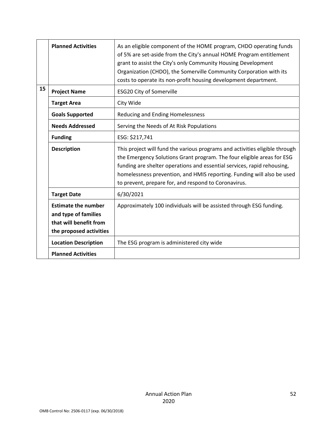|                           | <b>Planned Activities</b>                                                                               | As an eligible component of the HOME program, CHDO operating funds<br>of 5% are set-aside from the City's annual HOME Program entitlement<br>grant to assist the City's only Community Housing Development<br>Organization (CHDO), the Somerville Community Corporation with its<br>costs to operate its non-profit housing development department.                |
|---------------------------|---------------------------------------------------------------------------------------------------------|--------------------------------------------------------------------------------------------------------------------------------------------------------------------------------------------------------------------------------------------------------------------------------------------------------------------------------------------------------------------|
| 15<br><b>Project Name</b> |                                                                                                         | <b>ESG20 City of Somerville</b>                                                                                                                                                                                                                                                                                                                                    |
|                           | <b>Target Area</b>                                                                                      | City Wide                                                                                                                                                                                                                                                                                                                                                          |
|                           | <b>Goals Supported</b>                                                                                  | <b>Reducing and Ending Homelessness</b>                                                                                                                                                                                                                                                                                                                            |
|                           | <b>Needs Addressed</b>                                                                                  | Serving the Needs of At Risk Populations                                                                                                                                                                                                                                                                                                                           |
|                           | <b>Funding</b>                                                                                          | ESG: \$217,741                                                                                                                                                                                                                                                                                                                                                     |
|                           | <b>Description</b>                                                                                      | This project will fund the various programs and activities eligible through<br>the Emergency Solutions Grant program. The four eligible areas for ESG<br>funding are shelter operations and essential services, rapid rehousing,<br>homelessness prevention, and HMIS reporting. Funding will also be used<br>to prevent, prepare for, and respond to Coronavirus. |
|                           | <b>Target Date</b>                                                                                      | 6/30/2021                                                                                                                                                                                                                                                                                                                                                          |
|                           | <b>Estimate the number</b><br>and type of families<br>that will benefit from<br>the proposed activities | Approximately 100 individuals will be assisted through ESG funding.                                                                                                                                                                                                                                                                                                |
|                           | <b>Location Description</b>                                                                             | The ESG program is administered city wide                                                                                                                                                                                                                                                                                                                          |
|                           | <b>Planned Activities</b>                                                                               |                                                                                                                                                                                                                                                                                                                                                                    |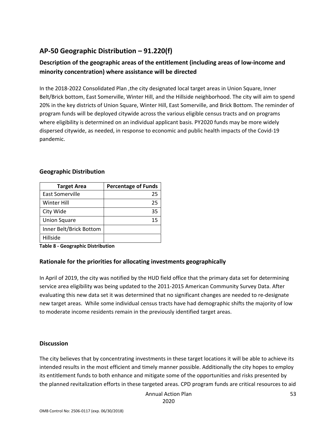## **AP‐50 Geographic Distribution – 91.220(f)**

## **Description of the geographic areas of the entitlement (including areas of low‐income and minority concentration) where assistance will be directed**

In the 2018‐2022 Consolidated Plan ,the city designated local target areas in Union Square, Inner Belt/Brick bottom, East Somerville, Winter Hill, and the Hillside neighborhood. The city will aim to spend 20% in the key districts of Union Square, Winter Hill, East Somerville, and Brick Bottom. The reminder of program funds will be deployed citywide across the various eligible census tracts and on programs where eligibility is determined on an individual applicant basis. PY2020 funds may be more widely dispersed citywide, as needed, in response to economic and public health impacts of the Covid‐19 pandemic.

## **Geographic Distribution**

| <b>Target Area</b>      | <b>Percentage of Funds</b> |
|-------------------------|----------------------------|
| East Somerville         | 25                         |
| <b>Winter Hill</b>      | 25                         |
| City Wide               | 35                         |
| <b>Union Square</b>     | 15                         |
| Inner Belt/Brick Bottom |                            |
| Hillside                |                            |

**Table 8 ‐ Geographic Distribution** 

## **Rationale for the priorities for allocating investments geographically**

In April of 2019, the city was notified by the HUD field office that the primary data set for determining service area eligibility was being updated to the 2011-2015 American Community Survey Data. After evaluating this new data set it was determined that no significant changes are needed to re‐designate new target areas. While some individual census tracts have had demographic shifts the majority of low to moderate income residents remain in the previously identified target areas.

#### **Discussion**

The city believes that by concentrating investments in these target locations it will be able to achieve its intended results in the most efficient and timely manner possible. Additionally the city hopes to employ its entitlement funds to both enhance and mitigate some of the opportunities and risks presented by the planned revitalization efforts in these targeted areas. CPD program funds are critical resources to aid

Annual Action Plan

2020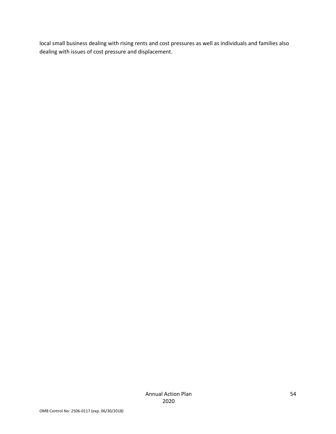local small business dealing with rising rents and cost pressures as well as individuals and families also dealing with issues of cost pressure and displacement.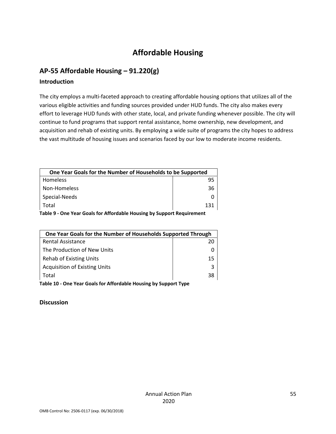## **Affordable Housing**

## **AP‐55 Affordable Housing – 91.220(g)**

### **Introduction**

The city employs a multi‐faceted approach to creating affordable housing options that utilizes all of the various eligible activities and funding sources provided under HUD funds. The city also makes every effort to leverage HUD funds with other state, local, and private funding whenever possible. The city will continue to fund programs that support rental assistance, home ownership, new development, and acquisition and rehab of existing units. By employing a wide suite of programs the city hopes to address the vast multitude of housing issues and scenarios faced by our low to moderate income residents.

| One Year Goals for the Number of Households to be Supported |     |  |
|-------------------------------------------------------------|-----|--|
| <b>Homeless</b>                                             |     |  |
| Non-Homeless                                                | 36  |  |
| Special-Needs                                               |     |  |
| Total                                                       | 131 |  |
|                                                             |     |  |

**Table 9 ‐ One Year Goals for Affordable Housing by Support Requirement** 

| One Year Goals for the Number of Households Supported Through    |    |  |
|------------------------------------------------------------------|----|--|
| <b>Rental Assistance</b>                                         | 20 |  |
| The Production of New Units                                      |    |  |
| <b>Rehab of Existing Units</b>                                   | 15 |  |
| <b>Acquisition of Existing Units</b>                             | 3  |  |
| Total                                                            | 38 |  |
| Table 10 - One Year Goals for Affordable Housing by Support Type |    |  |

**Discussion**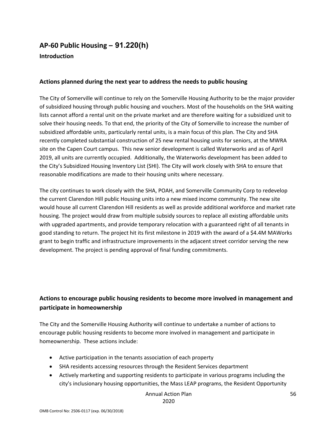## **AP‐60 Public Housing** *–* **91.220(h)**

#### **Introduction**

#### **Actions planned during the next year to address the needs to public housing**

The City of Somerville will continue to rely on the Somerville Housing Authority to be the major provider of subsidized housing through public housing and vouchers. Most of the households on the SHA waiting lists cannot afford a rental unit on the private market and are therefore waiting for a subsidized unit to solve their housing needs. To that end, the priority of the City of Somerville to increase the number of subsidized affordable units, particularly rental units, is a main focus of this plan. The City and SHA recently completed substantial construction of 25 new rental housing units for seniors, at the MWRA site on the Capen Court campus. This new senior development is called Waterworks and as of April 2019, all units are currently occupied. Additionally, the Waterworks development has been added to the City's Subsidized Housing Inventory List (SHI). The City will work closely with SHA to ensure that reasonable modifications are made to their housing units where necessary.

The city continues to work closely with the SHA, POAH, and Somerville Community Corp to redevelop the current Clarendon Hill public Housing units into a new mixed income community. The new site would house all current Clarendon Hill residents as well as provide additional workforce and market rate housing. The project would draw from multiple subsidy sources to replace all existing affordable units with upgraded apartments, and provide temporary relocation with a guaranteed right of all tenants in good standing to return. The project hit its first milestone in 2019 with the award of a \$4.4M MAWorks grant to begin traffic and infrastructure improvements in the adjacent street corridor serving the new development. The project is pending approval of final funding commitments.

## **Actions to encourage public housing residents to become more involved in management and participate in homeownership**

The City and the Somerville Housing Authority will continue to undertake a number of actions to encourage public housing residents to become more involved in management and participate in homeownership. These actions include:

- Active participation in the tenants association of each property
- SHA residents accessing resources through the Resident Services department
- Actively marketing and supporting residents to participate in various programs including the city's inclusionary housing opportunities, the Mass LEAP programs, the Resident Opportunity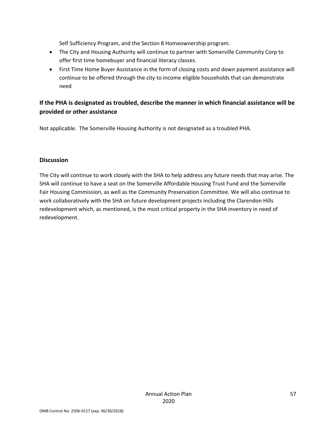Self Sufficiency Program, and the Section 8 Homeownership program.

- The City and Housing Authority will continue to partner with Somerville Community Corp to offer first time homebuyer and financial literacy classes.
- First Time Home Buyer Assistance in the form of closing costs and down payment assistance will continue to be offered through the city to income eligible households that can demonstrate need

## **If the PHA is designated as troubled, describe the manner in which financial assistance will be provided or other assistance**

Not applicable. The Somerville Housing Authority is not designated as a troubled PHA.

#### **Discussion**

The City will continue to work closely with the SHA to help address any future needs that may arise. The SHA will continue to have a seat on the Somerville Affordable Housing Trust Fund and the Somerville Fair Housing Commission, as well as the Community Preservation Committee. We will also continue to work collaboratively with the SHA on future development projects including the Clarendon Hills redevelopment which, as mentioned, is the most critical property in the SHA inventory in need of redevelopment.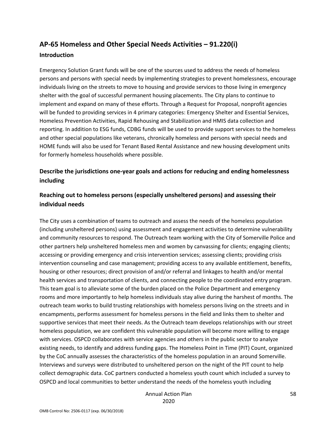# **AP‐65 Homeless and Other Special Needs Activities – 91.220(i)**

#### **Introduction**

Emergency Solution Grant funds will be one of the sources used to address the needs of homeless persons and persons with special needs by implementing strategies to prevent homelessness, encourage individuals living on the streets to move to housing and provide services to those living in emergency shelter with the goal of successful permanent housing placements. The City plans to continue to implement and expand on many of these efforts. Through a Request for Proposal, nonprofit agencies will be funded to providing services in 4 primary categories: Emergency Shelter and Essential Services, Homeless Prevention Activities, Rapid Rehousing and Stabilization and HMIS data collection and reporting. In addition to ESG funds, CDBG funds will be used to provide support services to the homeless and other special populations like veterans, chronically homeless and persons with special needs and HOME funds will also be used for Tenant Based Rental Assistance and new housing development units for formerly homeless households where possible.

## **Describe the jurisdictions one‐year goals and actions for reducing and ending homelessness including**

## **Reaching out to homeless persons (especially unsheltered persons) and assessing their individual needs**

The City uses a combination of teams to outreach and assess the needs of the homeless population (including unsheltered persons) using assessment and engagement activities to determine vulnerability and community resources to respond. The Outreach team working with the City of Somerville Police and other partners help unsheltered homeless men and women by canvassing for clients; engaging clients; accessing or providing emergency and crisis intervention services; assessing clients; providing crisis intervention counseling and case management; providing access to any available entitlement, benefits, housing or other resources; direct provision of and/or referral and linkages to health and/or mental health services and transportation of clients, and connecting people to the coordinated entry program. This team goal is to alleviate some of the burden placed on the Police Department and emergency rooms and more importantly to help homeless individuals stay alive during the harshest of months. The outreach team works to build trusting relationships with homeless persons living on the streets and in encampments, performs assessment for homeless persons in the field and links them to shelter and supportive services that meet their needs. As the Outreach team develops relationships with our street homeless population, we are confident this vulnerable population will become more willing to engage with services. OSPCD collaborates with service agencies and others in the public sector to analyze existing needs, to identify and address funding gaps. The Homeless Point in Time (PIT) Count, organized by the CoC annually assesses the characteristics of the homeless population in an around Somerville. Interviews and surveys were distributed to unsheltered person on the night of the PIT count to help collect demographic data. CoC partners conducted a homeless youth count which included a survey to OSPCD and local communities to better understand the needs of the homeless youth including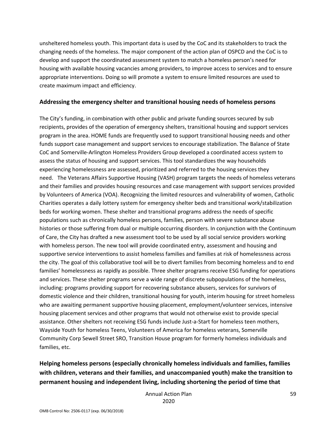unsheltered homeless youth. This important data is used by the CoC and its stakeholders to track the changing needs of the homeless. The major component of the action plan of OSPCD and the CoC is to develop and support the coordinated assessment system to match a homeless person's need for housing with available housing vacancies among providers, to improve access to services and to ensure appropriate interventions. Doing so will promote a system to ensure limited resources are used to create maximum impact and efficiency.

#### **Addressing the emergency shelter and transitional housing needs of homeless persons**

The City's funding, in combination with other public and private funding sources secured by sub recipients, provides of the operation of emergency shelters, transitional housing and support services program in the area. HOME funds are frequently used to support transitional housing needs and other funds support case management and support services to encourage stabilization. The Balance of State CoC and Somerville‐Arlington Homeless Providers Group developed a coordinated access system to assess the status of housing and support services. This tool standardizes the way households experiencing homelessness are assessed, prioritized and referred to the housing services they need. The Veterans Affairs Supportive Housing (VASH) program targets the needs of homeless veterans and their families and provides housing resources and case management with support services provided by Volunteers of America (VOA). Recognizing the limited resources and vulnerability of women, Catholic Charities operates a daily lottery system for emergency shelter beds and transitional work/stabilization beds for working women. These shelter and transitional programs address the needs of specific populations such as chronically homeless persons, families, person with severe substance abuse histories or those suffering from dual or multiple occurring disorders. In conjunction with the Continuum of Care, the City has drafted a new assessment tool to be used by all social service providers working with homeless person. The new tool will provide coordinated entry, assessment and housing and supportive service interventions to assist homeless families and families at risk of homelessness across the city. The goal of this collaborative tool will be to divert families from becoming homeless and to end families' homelessness as rapidly as possible. Three shelter programs receive ESG funding for operations and services. These shelter programs serve a wide range of discrete subpopulations of the homeless, including: programs providing support for recovering substance abusers, services for survivors of domestic violence and their children, transitional housing for youth, interim housing for street homeless who are awaiting permanent supportive housing placement, employment/volunteer services, intensive housing placement services and other programs that would not otherwise exist to provide special assistance. Other shelters not receiving ESG funds include Just‐a‐Start for homeless teen mothers, Wayside Youth for homeless Teens, Volunteers of America for homeless veterans, Somerville Community Corp Sewell Street SRO, Transition House program for formerly homeless individuals and families, etc.

## **Helping homeless persons (especially chronically homeless individuals and families, families with children, veterans and their families, and unaccompanied youth) make the transition to permanent housing and independent living, including shortening the period of time that**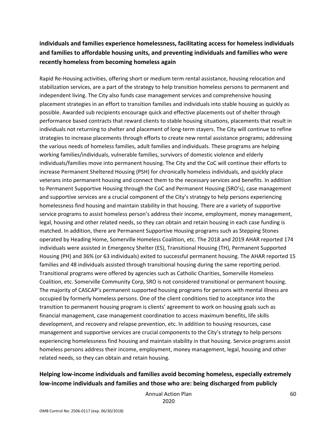## **individuals and families experience homelessness, facilitating access for homeless individuals and families to affordable housing units, and preventing individuals and families who were recently homeless from becoming homeless again**

Rapid Re‐Housing activities, offering short or medium term rental assistance, housing relocation and stabilization services, are a part of the strategy to help transition homeless persons to permanent and independent living. The City also funds case management services and comprehensive housing placement strategies in an effort to transition families and individuals into stable housing as quickly as possible. Awarded sub recipients encourage quick and effective placements out of shelter through performance based contracts that reward clients to stable housing situations, placements that result in individuals not returning to shelter and placement of long‐term stayers. The City will continue to refine strategies to increase placements through efforts to create new rental assistance programs; addressing the various needs of homeless families, adult families and individuals. These programs are helping working families/individuals, vulnerable families, survivors of domestic violence and elderly individuals/families move into permanent housing. The City and the CoC will continue their efforts to increase Permanent Sheltered Housing (PSH) for chronically homeless individuals, and quickly place veterans into permanent housing and connect them to the necessary services and benefits. In addition to Permanent Supportive Housing through the CoC and Permanent Housing (SRO's), case management and supportive services are a crucial component of the City's strategy to help persons experiencing homelessness find housing and maintain stability in that housing. There are a variety of supportive service programs to assist homeless person's address their income, employment, money management, legal, housing and other related needs, so they can obtain and retain housing in each case funding is matched. In addition, there are Permanent Supportive Housing programs such as Stepping Stones operated by Heading Home, Somerville Homeless Coalition, etc. The 2018 and 2019 AHAR reported 174 individuals were assisted in Emergency Shelter (ES), Transitional Housing (TH), Permanent Supported Housing (PH) and 36% (or 63 individuals) exited to successful permanent housing. The AHAR reported 15 families and 48 individuals assisted through transitional housing during the same reporting period. Transitional programs were offered by agencies such as Catholic Charities, Somerville Homeless Coalition, etc. Somerville Community Corp, SRO is not considered transitional or permanent housing. The majority of CASCAP's permanent supported housing programs for persons with mental illness are occupied by formerly homeless persons. One of the client conditions tied to acceptance into the transition to permanent housing program is clients' agreement to work on housing goals such as financial management, case management coordination to access maximum benefits, life skills development, and recovery and relapse prevention, etc. In addition to housing resources, case management and supportive services are crucial components to the City's strategy to help persons experiencing homelessness find housing and maintain stability in that housing. Service programs assist homeless persons address their income, employment, money management, legal, housing and other related needs, so they can obtain and retain housing.

## **Helping low‐income individuals and families avoid becoming homeless, especially extremely low‐income individuals and families and those who are: being discharged from publicly**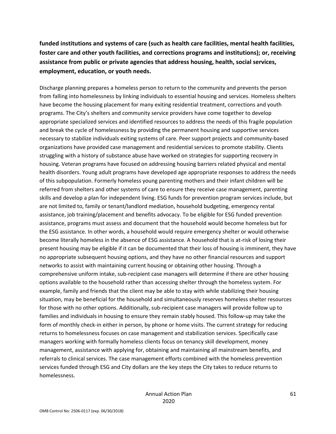**funded institutions and systems of care (such as health care facilities, mental health facilities, foster care and other youth facilities, and corrections programs and institutions); or, receiving assistance from public or private agencies that address housing, health, social services, employment, education, or youth needs.** 

Discharge planning prepares a homeless person to return to the community and prevents the person from falling into homelessness by linking individuals to essential housing and services. Homeless shelters have become the housing placement for many exiting residential treatment, corrections and youth programs. The City's shelters and community service providers have come together to develop appropriate specialized services and identified resources to address the needs of this fragile population and break the cycle of homelessness by providing the permanent housing and supportive services necessary to stabilize individuals exiting systems of care. Peer support projects and community‐based organizations have provided case management and residential services to promote stability. Clients struggling with a history of substance abuse have worked on strategies for supporting recovery in housing. Veteran programs have focused on addressing housing barriers related physical and mental health disorders. Young adult programs have developed age appropriate responses to address the needs of this subpopulation. Formerly homeless young parenting mothers and their infant children will be referred from shelters and other systems of care to ensure they receive case management, parenting skills and develop a plan for independent living. ESG funds for prevention program services include, but are not limited to, family or tenant/landlord mediation, household budgeting, emergency rental assistance, job training/placement and benefits advocacy. To be eligible for ESG funded prevention assistance, programs must assess and document that the household would become homeless but for the ESG assistance. In other words, a household would require emergency shelter or would otherwise become literally homeless in the absence of ESG assistance. A household that is at‐risk of losing their present housing may be eligible if it can be documented that their loss of housing is imminent, they have no appropriate subsequent housing options, and they have no other financial resources and support networks to assist with maintaining current housing or obtaining other housing. Through a comprehensive uniform intake, sub-recipient case managers will determine if there are other housing options available to the household rather than accessing shelter through the homeless system. For example, family and friends that the client may be able to stay with while stabilizing their housing situation, may be beneficial for the household and simultaneously reserves homeless shelter resources for those with no other options. Additionally, sub-recipient case managers will provide follow up to families and individuals in housing to ensure they remain stably housed. This follow‐up may take the form of monthly check-in either in person, by phone or home visits. The current strategy for reducing returns to homelessness focuses on case management and stabilization services. Specifically case managers working with formally homeless clients focus on tenancy skill development, money management, assistance with applying for, obtaining and maintaining all mainstream benefits, and referrals to clinical services. The case management efforts combined with the homeless prevention services funded through ESG and City dollars are the key steps the City takes to reduce returns to homelessness.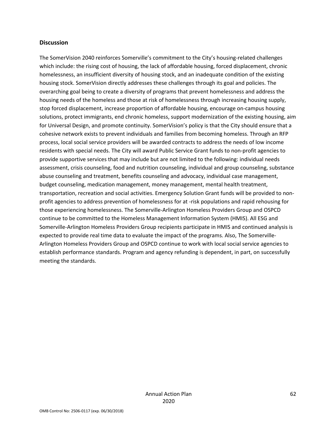#### **Discussion**

The SomerVision 2040 reinforces Somerville's commitment to the City's housing‐related challenges which include: the rising cost of housing, the lack of affordable housing, forced displacement, chronic homelessness, an insufficient diversity of housing stock, and an inadequate condition of the existing housing stock. SomerVision directly addresses these challenges through its goal and policies. The overarching goal being to create a diversity of programs that prevent homelessness and address the housing needs of the homeless and those at risk of homelessness through increasing housing supply, stop forced displacement, increase proportion of affordable housing, encourage on‐campus housing solutions, protect immigrants, end chronic homeless, support modernization of the existing housing, aim for Universal Design, and promote continuity. SomerVision's policy is that the City should ensure that a cohesive network exists to prevent individuals and families from becoming homeless. Through an RFP process, local social service providers will be awarded contracts to address the needs of low income residents with special needs. The City will award Public Service Grant funds to non‐profit agencies to provide supportive services that may include but are not limited to the following: individual needs assessment, crisis counseling, food and nutrition counseling, individual and group counseling, substance abuse counseling and treatment, benefits counseling and advocacy, individual case management, budget counseling, medication management, money management, mental health treatment, transportation, recreation and social activities. Emergency Solution Grant funds will be provided to non‐ profit agencies to address prevention of homelessness for at ‐risk populations and rapid rehousing for those experiencing homelessness. The Somerville‐Arlington Homeless Providers Group and OSPCD continue to be committed to the Homeless Management Information System (HMIS). All ESG and Somerville‐Arlington Homeless Providers Group recipients participate in HMIS and continued analysis is expected to provide real time data to evaluate the impact of the programs. Also, The Somerville‐ Arlington Homeless Providers Group and OSPCD continue to work with local social service agencies to establish performance standards. Program and agency refunding is dependent, in part, on successfully meeting the standards.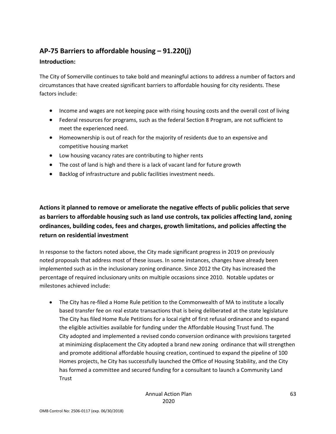## **AP‐75 Barriers to affordable housing – 91.220(j)**

## **Introduction:**

The City of Somerville continues to take bold and meaningful actions to address a number of factors and circumstances that have created significant barriers to affordable housing for city residents. These factors include:

- Income and wages are not keeping pace with rising housing costs and the overall cost of living
- Federal resources for programs, such as the federal Section 8 Program, are not sufficient to meet the experienced need.
- Homeownership is out of reach for the majority of residents due to an expensive and competitive housing market
- Low housing vacancy rates are contributing to higher rents
- The cost of land is high and there is a lack of vacant land for future growth
- Backlog of infrastructure and public facilities investment needs.

**Actions it planned to remove or ameliorate the negative effects of public policies that serve as barriers to affordable housing such as land use controls, tax policies affecting land, zoning ordinances, building codes, fees and charges, growth limitations, and policies affecting the return on residential investment** 

In response to the factors noted above, the City made significant progress in 2019 on previously noted proposals that address most of these issues. In some instances, changes have already been implemented such as in the inclusionary zoning ordinance. Since 2012 the City has increased the percentage of required inclusionary units on multiple occasions since 2010. Notable updates or milestones achieved include:

● The City has re-filed a Home Rule petition to the Commonwealth of MA to institute a locally based transfer fee on real estate transactions that is being deliberated at the state legislature The City has filed Home Rule Petitions for a local right of first refusal ordinance and to expand the eligible activities available for funding under the Affordable Housing Trust fund. The City adopted and implemented a revised condo conversion ordinance with provisions targeted at minimizing displacement the City adopted a brand new zoning ordinance that will strengthen and promote additional affordable housing creation, continued to expand the pipeline of 100 Homes projects, he City has successfully launched the Office of Housing Stability, and the City has formed a committee and secured funding for a consultant to launch a Community Land **Trust**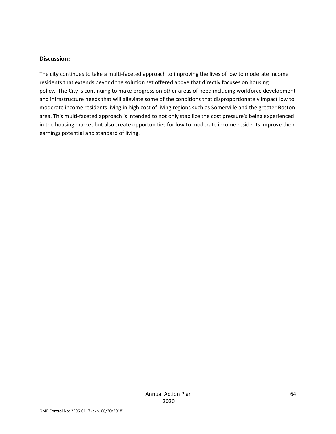#### **Discussion:**

The city continues to take a multi-faceted approach to improving the lives of low to moderate income residents that extends beyond the solution set offered above that directly focuses on housing policy. The City is continuing to make progress on other areas of need including workforce development and infrastructure needs that will alleviate some of the conditions that disproportionately impact low to moderate income residents living in high cost of living regions such as Somerville and the greater Boston area. This multi-faceted approach is intended to not only stabilize the cost pressure's being experienced in the housing market but also create opportunities for low to moderate income residents improve their earnings potential and standard of living.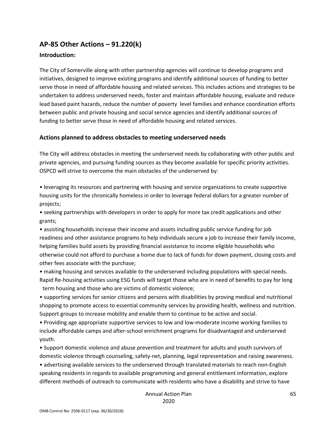## **AP‐85 Other Actions – 91.220(k)**

### **Introduction:**

The City of Somerville along with other partnership agencies will continue to develop programs and initiatives, designed to improve existing programs and identify additional sources of funding to better serve those in need of affordable housing and related services. This includes actions and strategies to be undertaken to address underserved needs, foster and maintain affordable housing, evaluate and reduce lead based paint hazards, reduce the number of poverty level families and enhance coordination efforts between public and private housing and social service agencies and identify additional sources of funding to better serve those in need of affordable housing and related services.

### **Actions planned to address obstacles to meeting underserved needs**

The City will address obstacles in meeting the underserved needs by collaborating with other public and private agencies, and pursuing funding sources as they become available for specific priority activities. OSPCD will strive to overcome the main obstacles of the underserved by:

• leveraging its resources and partnering with housing and service organizations to create supportive housing units for the chronically homeless in order to leverage federal dollars for a greater number of projects;

• seeking partnerships with developers in order to apply for more tax credit applications and other grants;

• assisting households increase their income and assets including public service funding for job readiness and other assistance programs to help individuals secure a job to increase their family income, helping families build assets by providing financial assistance to income eligible households who otherwise could not afford to purchase a home due to lack of funds for down payment, closing costs and other fees associate with the purchase;

• making housing and services available to the underserved including populations with special needs. Rapid Re‐housing activities using ESG funds will target those who are in need of benefits to pay for long term housing and those who are victims of domestic violence;

• supporting services for senior citizens and persons with disabilities by proving medical and nutritional shopping to promote access to essential community services by providing health, wellness and nutrition. Support groups to increase mobility and enable them to continue to be active and social.

• Providing age appropriate supportive services to low and low‐moderate income working families to include affordable camps and after‐school enrichment programs for disadvantaged and underserved youth.

• Support domestic violence and abuse prevention and treatment for adults and youth survivors of domestic violence through counseling, safety‐net, planning, legal representation and raising awareness. • advertising available services to the underserved through translated materials to reach non‐English speaking residents in regards to available programming and general entitlement information, explore different methods of outreach to communicate with residents who have a disability and strive to have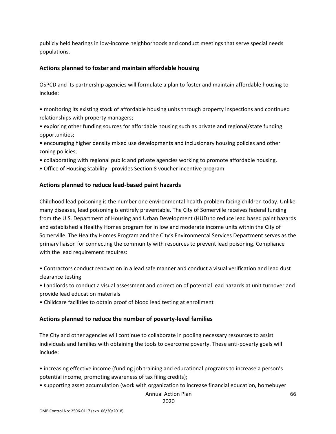publicly held hearings in low‐income neighborhoods and conduct meetings that serve special needs populations.

#### **Actions planned to foster and maintain affordable housing**

OSPCD and its partnership agencies will formulate a plan to foster and maintain affordable housing to include:

• monitoring its existing stock of affordable housing units through property inspections and continued relationships with property managers;

• exploring other funding sources for affordable housing such as private and regional/state funding opportunities;

• encouraging higher density mixed use developments and inclusionary housing policies and other zoning policies;

- collaborating with regional public and private agencies working to promote affordable housing.
- Office of Housing Stability ‐ provides Section 8 voucher incentive program

### **Actions planned to reduce lead‐based paint hazards**

Childhood lead poisoning is the number one environmental health problem facing children today. Unlike many diseases, lead poisoning is entirely preventable. The City of Somerville receives federal funding from the U.S. Department of Housing and Urban Development (HUD) to reduce lead based paint hazards and established a Healthy Homes program for in low and moderate income units within the City of Somerville. The Healthy Homes Program and the City's Environmental Services Department serves as the primary liaison for connecting the community with resources to prevent lead poisoning. Compliance with the lead requirement requires:

• Contractors conduct renovation in a lead safe manner and conduct a visual verification and lead dust clearance testing

• Landlords to conduct a visual assessment and correction of potential lead hazards at unit turnover and provide lead education materials

• Childcare facilities to obtain proof of blood lead testing at enrollment

#### **Actions planned to reduce the number of poverty‐level families**

The City and other agencies will continue to collaborate in pooling necessary resources to assist individuals and families with obtaining the tools to overcome poverty. These anti-poverty goals will include:

• increasing effective income (funding job training and educational programs to increase a person's potential income, promoting awareness of tax filing credits);

• supporting asset accumulation (work with organization to increase financial education, homebuyer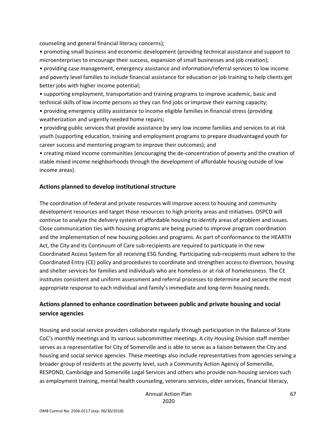counseling and general financial literacy concerns);

• promoting small business and economic development (providing technical assistance and support to microenterprises to encourage their success, expansion of small businesses and job creation);

• providing case management, emergency assistance and information/referral services to low income and poverty level families to include financial assistance for education or job training to help clients get better jobs with higher income potential;

• supporting employment, transportation and training programs to improve academic, basic and technical skills of low income persons so they can find jobs or improve their earning capacity;

• providing emergency utility assistance to income eligible families in financial stress (providing weatherization and urgently needed home repairs;

• providing public services that provide assistance by very low income families and services to at risk youth (supporting education, training and employment programs to prepare disadvantaged youth for career success and mentoring program to improve their outcomes); and

• creating mixed income communities (encouraging the de‐concentration of poverty and the creation of stable mixed income neighborhoods through the development of affordable housing outside of low income areas).

### **Actions planned to develop institutional structure**

The coordination of federal and private resources will improve access to housing and community development resources and target those resources to high priority areas and initiatives. OSPCD will continue to analyze the delivery system of affordable housing to identify areas of problem and issues. Close communication ties with housing programs are being pursed to improve program coordination and the implementation of new housing policies and programs. As part of conformance to the HEARTH Act, the City and its Continuum of Care sub‐recipients are required to participate in the new Coordinated Access System for all receiving ESG funding. Participating sub‐recipients must adhere to the Coordinated Entry (CE) policy and procedures to coordinate and strengthen access to diversion, housing and shelter services for families and individuals who are homeless or at risk of homelessness. The CE institutes consistent and uniform assessment and referral processes to determine and secure the most appropriate response to each individual and family's immediate and long-term housing needs.

## **Actions planned to enhance coordination between public and private housing and social service agencies**

Housing and social service providers collaborate regularly through participation in the Balance of State CoC's monthly meetings and its various subcommittee meetings. A city Housing Division staff member serves as a representative for City of Somerville and is able to serve as a liaison between the City and housing and social service agencies. These meetings also include representatives from agencies serving a broader group of residents at the poverty level, such a Community Action Agency of Somerville, RESPOND, Cambridge and Somerville Legal Services and others who provide non‐housing services such as employment training, mental health counseling, veterans services, elder services, financial literacy,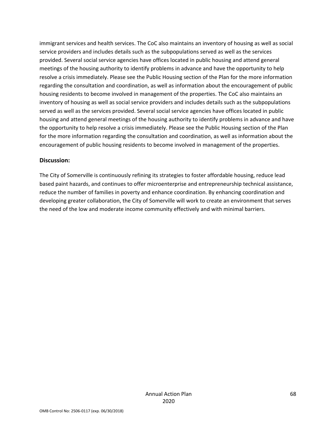immigrant services and health services. The CoC also maintains an inventory of housing as well as social service providers and includes details such as the subpopulations served as well as the services provided. Several social service agencies have offices located in public housing and attend general meetings of the housing authority to identify problems in advance and have the opportunity to help resolve a crisis immediately. Please see the Public Housing section of the Plan for the more information regarding the consultation and coordination, as well as information about the encouragement of public housing residents to become involved in management of the properties. The CoC also maintains an inventory of housing as well as social service providers and includes details such as the subpopulations served as well as the services provided. Several social service agencies have offices located in public housing and attend general meetings of the housing authority to identify problems in advance and have the opportunity to help resolve a crisis immediately. Please see the Public Housing section of the Plan for the more information regarding the consultation and coordination, as well as information about the encouragement of public housing residents to become involved in management of the properties.

#### **Discussion:**

The City of Somerville is continuously refining its strategies to foster affordable housing, reduce lead based paint hazards, and continues to offer microenterprise and entrepreneurship technical assistance, reduce the number of families in poverty and enhance coordination. By enhancing coordination and developing greater collaboration, the City of Somerville will work to create an environment that serves the need of the low and moderate income community effectively and with minimal barriers.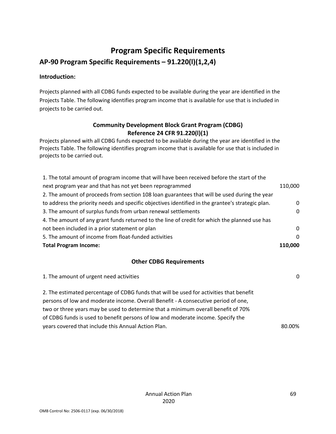## **Program Specific Requirements**

## **AP‐90 Program Specific Requirements – 91.220(l)(1,2,4)**

### **Introduction:**

Projects planned with all CDBG funds expected to be available during the year are identified in the Projects Table. The following identifies program income that is available for use that is included in projects to be carried out.

## **Community Development Block Grant Program (CDBG) Reference 24 CFR 91.220(l)(1)**

Projects planned with all CDBG funds expected to be available during the year are identified in the Projects Table. The following identifies program income that is available for use that is included in projects to be carried out.

| 1. The total amount of program income that will have been received before the start of the        |          |
|---------------------------------------------------------------------------------------------------|----------|
| next program year and that has not yet been reprogrammed                                          | 110,000  |
| 2. The amount of proceeds from section 108 loan guarantees that will be used during the year      |          |
| to address the priority needs and specific objectives identified in the grantee's strategic plan. | 0        |
| 3. The amount of surplus funds from urban renewal settlements                                     | 0        |
| 4. The amount of any grant funds returned to the line of credit for which the planned use has     |          |
| not been included in a prior statement or plan                                                    | 0        |
| 5. The amount of income from float-funded activities                                              | $\Omega$ |
| <b>Total Program Income:</b>                                                                      | 110.000  |

## **Other CDBG Requirements**

| 1. The amount of urgent need activities                                                 | 0      |
|-----------------------------------------------------------------------------------------|--------|
| 2. The estimated percentage of CDBG funds that will be used for activities that benefit |        |
| persons of low and moderate income. Overall Benefit - A consecutive period of one,      |        |
| two or three years may be used to determine that a minimum overall benefit of 70%       |        |
| of CDBG funds is used to benefit persons of low and moderate income. Specify the        |        |
| years covered that include this Annual Action Plan.                                     | 80.00% |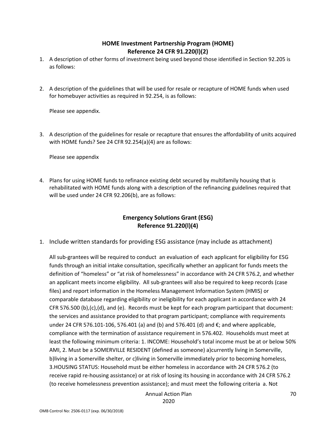## **HOME Investment Partnership Program (HOME) Reference 24 CFR 91.220(l)(2)**

- 1. A description of other forms of investment being used beyond those identified in Section 92.205 is as follows:
- 2. A description of the guidelines that will be used for resale or recapture of HOME funds when used for homebuyer activities as required in 92.254, is as follows:

Please see appendix.

3. A description of the guidelines for resale or recapture that ensures the affordability of units acquired with HOME funds? See 24 CFR 92.254(a)(4) are as follows:

Please see appendix

4. Plans for using HOME funds to refinance existing debt secured by multifamily housing that is rehabilitated with HOME funds along with a description of the refinancing guidelines required that will be used under 24 CFR 92.206(b), are as follows:

## **Emergency Solutions Grant (ESG) Reference 91.220(l)(4)**

1. Include written standards for providing ESG assistance (may include as attachment)

All sub‐grantees will be required to conduct an evaluation of each applicant for eligibility for ESG funds through an initial intake consultation, specifically whether an applicant for funds meets the definition of "homeless" or "at risk of homelessness" in accordance with 24 CFR 576.2, and whether an applicant meets income eligibility. All sub‐grantees will also be required to keep records (case files) and report information in the Homeless Management Information System (HMIS) or comparable database regarding eligibility or ineligibility for each applicant in accordance with 24 CFR 576.500 (b),(c),(d), and (e). Records must be kept for each program participant that document: the services and assistance provided to that program participant; compliance with requirements under 24 CFR 576.101-106, 576.401 (a) and (b) and 576.401 (d) and  $€;$  and where applicable, compliance with the termination of assistance requirement in 576.402. Households must meet at least the following minimum criteria: 1. INCOME: Household's total income must be at or below 50% AMI, 2. Must be a SOMERVILLE RESIDENT (defined as someone) a)currently living in Somerville, b)living in a Somerville shelter, or c)living in Somerville immediately prior to becoming homeless, 3.HOUSING STATUS: Household must be either homeless in accordance with 24 CFR 576.2 (to receive rapid re‐housing assistance) or at risk of losing its housing in accordance with 24 CFR 576.2 (to receive homelessness prevention assistance); and must meet the following criteria a. Not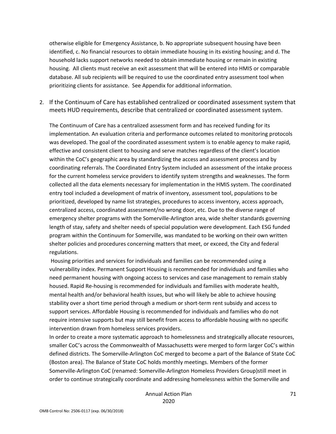otherwise eligible for Emergency Assistance, b. No appropriate subsequent housing have been identified, c. No financial resources to obtain immediate housing in its existing housing; and d. The household lacks support networks needed to obtain immediate housing or remain in existing housing. All clients must receive an exit assessment that will be entered into HMIS or comparable database. All sub recipients will be required to use the coordinated entry assessment tool when prioritizing clients for assistance. See Appendix for additional information.

2. If the Continuum of Care has established centralized or coordinated assessment system that meets HUD requirements, describe that centralized or coordinated assessment system.

The Continuum of Care has a centralized assessment form and has received funding for its implementation. An evaluation criteria and performance outcomes related to monitoring protocols was developed. The goal of the coordinated assessment system is to enable agency to make rapid, effective and consistent client to housing and serve matches regardless of the client's location within the CoC's geographic area by standardizing the access and assessment process and by coordinating referrals. The Coordinated Entry System included an assessment of the intake process for the current homeless service providers to identify system strengths and weaknesses. The form collected all the data elements necessary for implementation in the HMIS system. The coordinated entry tool included a development of matrix of inventory, assessment tool, populations to be prioritized, developed by name list strategies, procedures to access inventory, access approach, centralized access, coordinated assessment/no wrong door, etc. Due to the diverse range of emergency shelter programs with the Somerville‐Arlington area, wide shelter standards governing length of stay, safety and shelter needs of special population were development. Each ESG funded program within the Continuum for Somerville, was mandated to be working on their own written shelter policies and procedures concerning matters that meet, or exceed, the City and federal regulations.

 Housing priorities and services for individuals and families can be recommended using a vulnerability index. Permanent Support Housing is recommended for individuals and families who need permanent housing with ongoing access to services and case management to remain stably housed. Rapid Re‐housing is recommended for individuals and families with moderate health, mental health and/or behavioral health issues, but who will likely be able to achieve housing stability over a short time period through a medium or short‐term rent subsidy and access to support services. Affordable Housing is recommended for individuals and families who do not require intensive supports but may still benefit from access to affordable housing with no specific intervention drawn from homeless services providers.

In order to create a more systematic approach to homelessness and strategically allocate resources, smaller CoC's across the Commonwealth of Massachusetts were merged to form larger CoC's within defined districts. The Somerville‐Arlington CoC merged to become a part of the Balance of State CoC (Boston area). The Balance of State CoC holds monthly meetings. Members of the former Somerville‐Arlington CoC (renamed: Somerville‐Arlington Homeless Providers Group)still meet in order to continue strategically coordinate and addressing homelessness within the Somerville and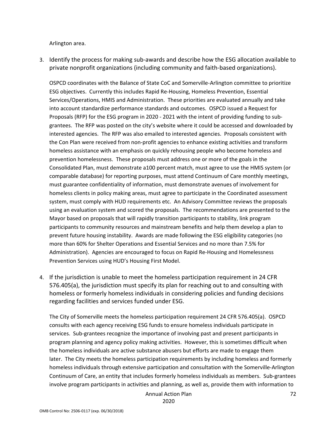Arlington area.

3. Identify the process for making sub‐awards and describe how the ESG allocation available to private nonprofit organizations (including community and faith‐based organizations).

OSPCD coordinates with the Balance of State CoC and Somerville‐Arlington committee to prioritize ESG objectives. Currently this includes Rapid Re‐Housing, Homeless Prevention, Essential Services/Operations, HMIS and Administration. These priorities are evaluated annually and take into account standardize performance standards and outcomes. OSPCD issued a Request for Proposals (RFP) for the ESG program in 2020 ‐ 2021 with the intent of providing funding to sub‐ grantees. The RFP was posted on the city's website where it could be accessed and downloaded by interested agencies. The RFP was also emailed to interested agencies. Proposals consistent with the Con Plan were received from non‐profit agencies to enhance existing activities and transform homeless assistance with an emphasis on quickly rehousing people who become homeless and prevention homelessness. These proposals must address one or more of the goals in the Consolidated Plan, must demonstrate a100 percent match, must agree to use the HMIS system (or comparable database) for reporting purposes, must attend Continuum of Care monthly meetings, must guarantee confidentiality of information, must demonstrate avenues of involvement for homeless clients in policy making areas, must agree to participate in the Coordinated assessment system, must comply with HUD requirements etc. An Advisory Committee reviews the proposals using an evaluation system and scored the proposals. The recommendations are presented to the Mayor based on proposals that will rapidly transition participants to stability, link program participants to community resources and mainstream benefits and help them develop a plan to prevent future housing instability. Awards are made following the ESG eligibility categories (no more than 60% for Shelter Operations and Essential Services and no more than 7.5% for Administration). Agencies are encouraged to focus on Rapid Re‐Housing and Homelessness Prevention Services using HUD's Housing First Model.

4. If the jurisdiction is unable to meet the homeless participation requirement in 24 CFR 576.405(a), the jurisdiction must specify its plan for reaching out to and consulting with homeless or formerly homeless individuals in considering policies and funding decisions regarding facilities and services funded under ESG.

The City of Somerville meets the homeless participation requirement 24 CFR 576.405(a). OSPCD consults with each agency receiving ESG funds to ensure homeless individuals participate in services. Sub-grantees recognize the importance of involving past and present participants in program planning and agency policy making activities. However, this is sometimes difficult when the homeless individuals are active substance abusers but efforts are made to engage them later. The City meets the homeless participation requirements by including homeless and formerly homeless individuals through extensive participation and consultation with the Somerville‐Arlington Continuum of Care, an entity that includes formerly homeless individuals as members. Sub‐grantees involve program participants in activities and planning, as well as, provide them with information to

Annual Action Plan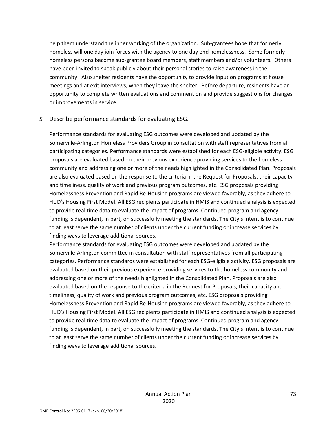help them understand the inner working of the organization. Sub-grantees hope that formerly homeless will one day join forces with the agency to one day end homelessness. Some formerly homeless persons become sub-grantee board members, staff members and/or volunteers. Others have been invited to speak publicly about their personal stories to raise awareness in the community. Also shelter residents have the opportunity to provide input on programs at house meetings and at exit interviews, when they leave the shelter. Before departure, residents have an opportunity to complete written evaluations and comment on and provide suggestions for changes or improvements in service.

## *5.* Describe performance standards for evaluating ESG.

Performance standards for evaluating ESG outcomes were developed and updated by the Somerville‐Arlington Homeless Providers Group in consultation with staff representatives from all participating categories. Performance standards were established for each ESG‐eligible activity. ESG proposals are evaluated based on their previous experience providing services to the homeless community and addressing one or more of the needs highlighted in the Consolidated Plan. Proposals are also evaluated based on the response to the criteria in the Request for Proposals, their capacity and timeliness, quality of work and previous program outcomes, etc. ESG proposals providing Homelessness Prevention and Rapid Re‐Housing programs are viewed favorably, as they adhere to HUD's Housing First Model. All ESG recipients participate in HMIS and continued analysis is expected to provide real time data to evaluate the impact of programs. Continued program and agency funding is dependent, in part, on successfully meeting the standards. The City's intent is to continue to at least serve the same number of clients under the current funding or increase services by finding ways to leverage additional sources.

Performance standards for evaluating ESG outcomes were developed and updated by the Somerville‐Arlington committee in consultation with staff representatives from all participating categories. Performance standards were established for each ESG‐eligible activity. ESG proposals are evaluated based on their previous experience providing services to the homeless community and addressing one or more of the needs highlighted in the Consolidated Plan. Proposals are also evaluated based on the response to the criteria in the Request for Proposals, their capacity and timeliness, quality of work and previous program outcomes, etc. ESG proposals providing Homelessness Prevention and Rapid Re‐Housing programs are viewed favorably, as they adhere to HUD's Housing First Model. All ESG recipients participate in HMIS and continued analysis is expected to provide real time data to evaluate the impact of programs. Continued program and agency funding is dependent, in part, on successfully meeting the standards. The City's intent is to continue to at least serve the same number of clients under the current funding or increase services by finding ways to leverage additional sources.